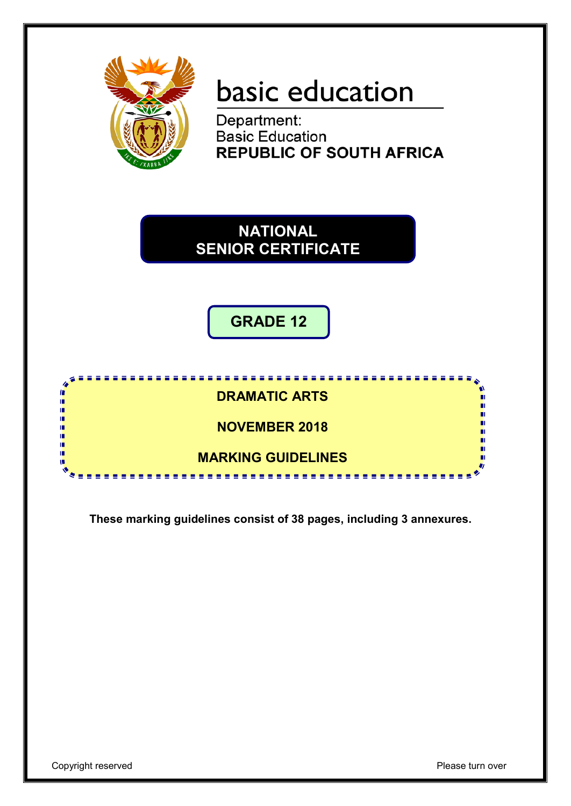

# basic education

Department: **Basic Education REPUBLIC OF SOUTH AFRICA** 

**NATIONAL SENIOR CERTIFICATE**

**GRADE 12**



**These marking guidelines consist of 38 pages, including 3 annexures.**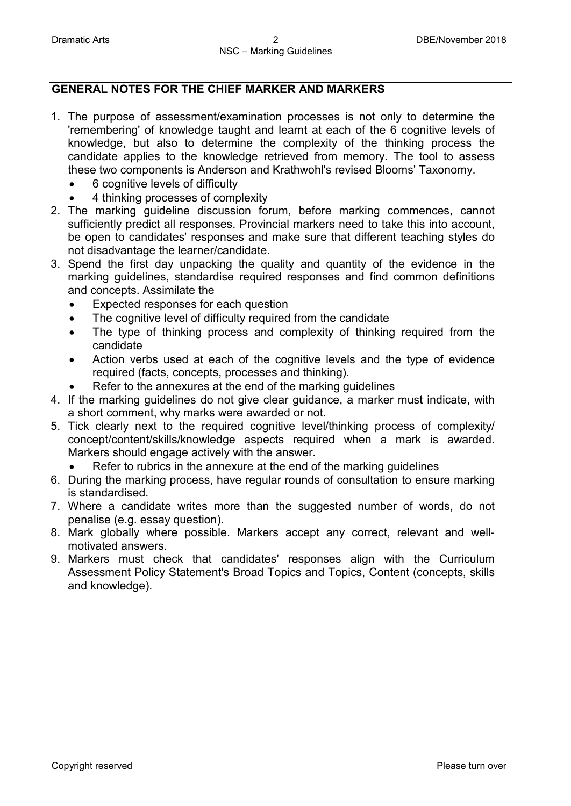### **GENERAL NOTES FOR THE CHIEF MARKER AND MARKERS**

- 1. The purpose of assessment/examination processes is not only to determine the 'remembering' of knowledge taught and learnt at each of the 6 cognitive levels of knowledge, but also to determine the complexity of the thinking process the candidate applies to the knowledge retrieved from memory. The tool to assess these two components is Anderson and Krathwohl's revised Blooms' Taxonomy.
	- 6 cognitive levels of difficulty
	- 4 thinking processes of complexity
- 2. The marking guideline discussion forum, before marking commences, cannot sufficiently predict all responses. Provincial markers need to take this into account, be open to candidates' responses and make sure that different teaching styles do not disadvantage the learner/candidate.
- 3. Spend the first day unpacking the quality and quantity of the evidence in the marking guidelines, standardise required responses and find common definitions and concepts. Assimilate the
	- Expected responses for each question
	- The cognitive level of difficulty required from the candidate
	- The type of thinking process and complexity of thinking required from the candidate
	- Action verbs used at each of the cognitive levels and the type of evidence required (facts, concepts, processes and thinking).
	- Refer to the annexures at the end of the marking quidelines
- 4. If the marking guidelines do not give clear guidance, a marker must indicate, with a short comment, why marks were awarded or not.
- 5. Tick clearly next to the required cognitive level/thinking process of complexity/ concept/content/skills/knowledge aspects required when a mark is awarded. Markers should engage actively with the answer.

Refer to rubrics in the annexure at the end of the marking quidelines

- 6. During the marking process, have regular rounds of consultation to ensure marking is standardised.
- 7. Where a candidate writes more than the suggested number of words, do not penalise (e.g. essay question).
- 8. Mark globally where possible. Markers accept any correct, relevant and wellmotivated answers.
- 9. Markers must check that candidates' responses align with the Curriculum Assessment Policy Statement's Broad Topics and Topics, Content (concepts, skills and knowledge).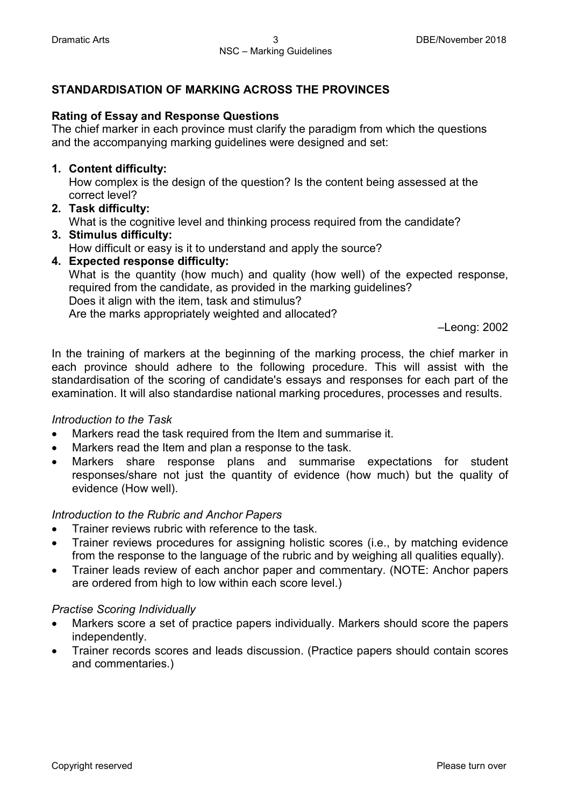### **STANDARDISATION OF MARKING ACROSS THE PROVINCES**

### **Rating of Essay and Response Questions**

The chief marker in each province must clarify the paradigm from which the questions and the accompanying marking guidelines were designed and set:

### **1. Content difficulty:**

How complex is the design of the question? Is the content being assessed at the correct level?

### **2. Task difficulty:**

What is the cognitive level and thinking process required from the candidate?

### **3. Stimulus difficulty:**  How difficult or easy is it to understand and apply the source?

**4. Expected response difficulty:**  What is the quantity (how much) and quality (how well) of the expected response, required from the candidate, as provided in the marking guidelines? Does it align with the item, task and stimulus? Are the marks appropriately weighted and allocated?

–Leong: 2002

In the training of markers at the beginning of the marking process, the chief marker in each province should adhere to the following procedure. This will assist with the standardisation of the scoring of candidate's essays and responses for each part of the examination. It will also standardise national marking procedures, processes and results.

### *Introduction to the Task*

- Markers read the task required from the Item and summarise it.
- Markers read the Item and plan a response to the task.
- Markers share response plans and summarise expectations for student responses/share not just the quantity of evidence (how much) but the quality of evidence (How well).

### *Introduction to the Rubric and Anchor Papers*

- Trainer reviews rubric with reference to the task.
- Trainer reviews procedures for assigning holistic scores (i.e., by matching evidence from the response to the language of the rubric and by weighing all qualities equally).
- Trainer leads review of each anchor paper and commentary. (NOTE: Anchor papers are ordered from high to low within each score level.)

### *Practise Scoring Individually*

- Markers score a set of practice papers individually. Markers should score the papers independently.
- Trainer records scores and leads discussion. (Practice papers should contain scores and commentaries.)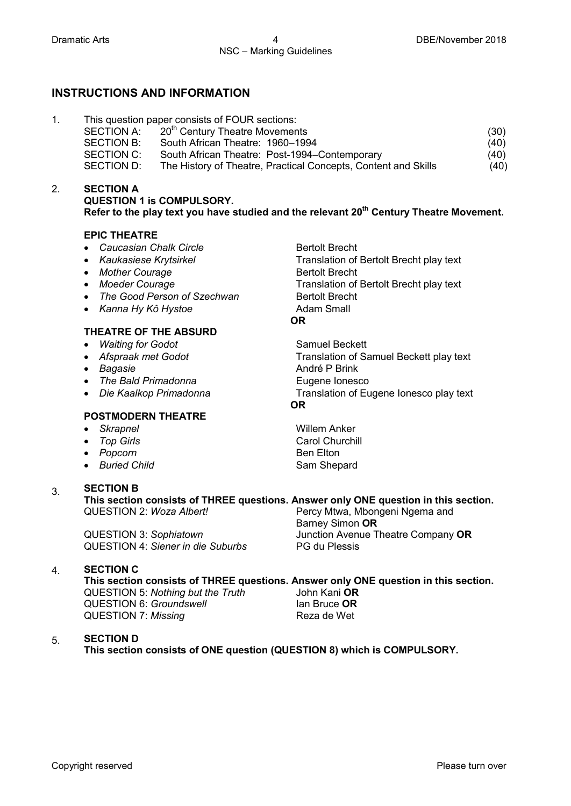2.

### **INSTRUCTIONS AND INFORMATION**

| (30) |
|------|
| (40) |
| (40) |
| (40) |
|      |

#### **SECTION A QUESTION 1 is COMPULSORY.** Refer to the play text you have studied and the relevant 20<sup>th</sup> Century Theatre Movement.

#### **EPIC THEATRE**

- Caucasian Chalk Circle **Bertolt Brecht**
- 
- Mother Courage **Bertolt Brecht Bertolt Brecht**
- 
- *The Good Person of Szechwan* Bertolt Brecht<br>• *Kanna Hy Kô Hystoe* **Bream Bream Adam Small**
- Kanna Hy Kô Hystoe

#### **THEATRE OF THE ABSURD**

- *Waiting for Godot* Samuel Beckett
- 
- 
- *The Bald Primadonna* Eugene Ionesco
- 

#### **POSTMODERN THEATRE**

- 
- 
- *Popcorn* Ben Elton
- *Buried Child* Sam Shepard

#### 3. **SECTION B**

**This section consists of THREE questions. Answer only ONE question in this section.**<br>QUESTION 2: *Woza Albert!* Percy Mtwa, Mbongeni Ngema and Percy Mtwa, Mbongeni Ngema and

QUESTION 3: *Sophiatown* Junction Avenue Theatre Company **OR** QUESTION 4: *Siener in die Suburbs* PG du Plessis

#### 4. **SECTION C**

**This section consists of THREE questions. Answer only ONE question in this section.**  QUESTION 5: *Nothing but the Truth* John Kani **OR** QUESTION 6: *Groundswell* **Ian Bruce OR**<br>
QUESTION 7: *Missing* **Internal COVER** Reza de Wet QUESTION 7: Missing

#### 5. **SECTION D**

**This section consists of ONE question (QUESTION 8) which is COMPULSORY.**

• *Kaukasiese Krytsirkel* Translation of Bertolt Brecht play text • *Moeder Courage* Translation of Bertolt Brecht play text **OR**

• *Afspraak met Godot* Translation of Samuel Beckett play text • *Bagasie* **André P Brink** • *Die Kaalkop Primadonna* Translation of Eugene Ionesco play text **OR**

• *Skrapnel* Willem Anker • *Top Girls* **Carol Churchill** 

Barney Simon **OR**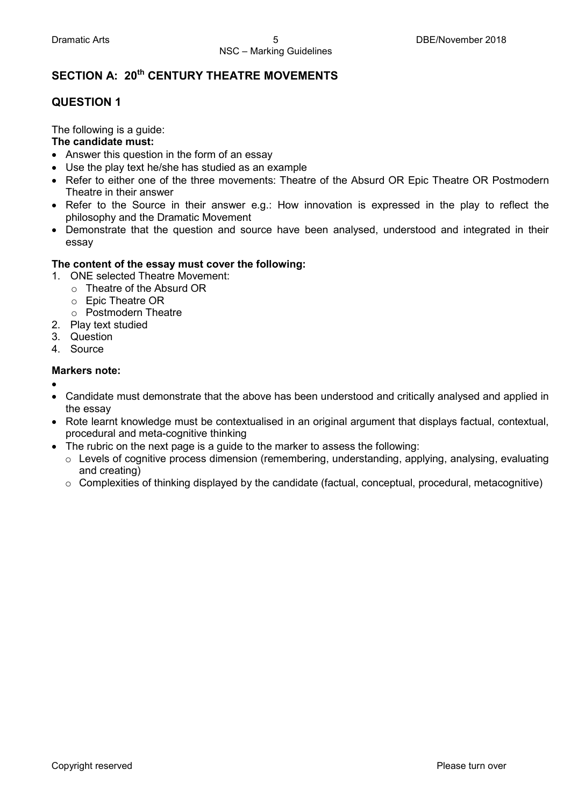### **SECTION A: 20th CENTURY THEATRE MOVEMENTS**

### **QUESTION 1**

The following is a guide:

### **The candidate must:**

- Answer this question in the form of an essay
- Use the play text he/she has studied as an example
- Refer to either one of the three movements: Theatre of the Absurd OR Epic Theatre OR Postmodern Theatre in their answer
- Refer to the Source in their answer e.g.: How innovation is expressed in the play to reflect the philosophy and the Dramatic Movement
- Demonstrate that the question and source have been analysed, understood and integrated in their essay

### **The content of the essay must cover the following:**

- 1. ONE selected Theatre Movement:
	- o Theatre of the Absurd OR
	- o Epic Theatre OR
	- o Postmodern Theatre
- 2. Play text studied
- 3. Question
- 4. Source

### **Markers note:**

- •
- Candidate must demonstrate that the above has been understood and critically analysed and applied in the essay
- Rote learnt knowledge must be contextualised in an original argument that displays factual, contextual, procedural and meta-cognitive thinking
- The rubric on the next page is a guide to the marker to assess the following:
	- $\circ$  Levels of cognitive process dimension (remembering, understanding, applying, analysing, evaluating and creating)
	- o Complexities of thinking displayed by the candidate (factual, conceptual, procedural, metacognitive)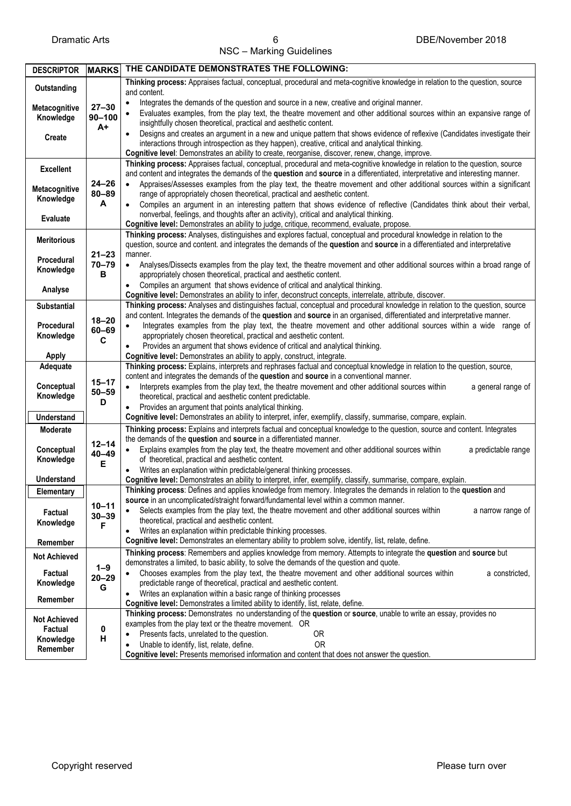NSC – Marking Guidelines

| <b>DESCRIPTOR</b>          | <b>MARKS</b>                | THE CANDIDATE DEMONSTRATES THE FOLLOWING:                                                                                                                                                                                                                            |  |  |  |  |
|----------------------------|-----------------------------|----------------------------------------------------------------------------------------------------------------------------------------------------------------------------------------------------------------------------------------------------------------------|--|--|--|--|
| Outstanding                |                             | Thinking process: Appraises factual, conceptual, procedural and meta-cognitive knowledge in relation to the question, source                                                                                                                                         |  |  |  |  |
|                            |                             | and content.                                                                                                                                                                                                                                                         |  |  |  |  |
| Metacognitive              | $27 - 30$                   | Integrates the demands of the question and source in a new, creative and original manner.<br>Evaluates examples, from the play text, the theatre movement and other additional sources within an expansive range of                                                  |  |  |  |  |
| Knowledge                  | $90 - 100$<br>$A+$          | insightfully chosen theoretical, practical and aesthetic content.                                                                                                                                                                                                    |  |  |  |  |
|                            |                             | Designs and creates an argument in a new and unique pattern that shows evidence of reflexive (Candidates investigate their                                                                                                                                           |  |  |  |  |
| <b>Create</b>              |                             | interactions through introspection as they happen), creative, critical and analytical thinking.                                                                                                                                                                      |  |  |  |  |
|                            |                             | Cognitive level: Demonstrates an ability to create, reorganise, discover, renew, change, improve.                                                                                                                                                                    |  |  |  |  |
| <b>Excellent</b>           |                             | Thinking process: Appraises factual, conceptual, procedural and meta-cognitive knowledge in relation to the question, source                                                                                                                                         |  |  |  |  |
|                            | $24 - 26$<br>$80 - 89$<br>A | and content and integrates the demands of the question and source in a differentiated, interpretative and interesting manner.<br>Appraises/Assesses examples from the play text, the theatre movement and other additional sources within a significant<br>$\bullet$ |  |  |  |  |
| Metacognitive<br>Knowledge |                             | range of appropriately chosen theoretical, practical and aesthetic content.                                                                                                                                                                                          |  |  |  |  |
|                            |                             | Compiles an argument in an interesting pattern that shows evidence of reflective (Candidates think about their verbal,                                                                                                                                               |  |  |  |  |
| Evaluate                   |                             | nonverbal, feelings, and thoughts after an activity), critical and analytical thinking.                                                                                                                                                                              |  |  |  |  |
|                            |                             | Cognitive level: Demonstrates an ability to judge, critique, recommend, evaluate, propose.                                                                                                                                                                           |  |  |  |  |
| <b>Meritorious</b>         |                             | Thinking process: Analyses, distinguishes and explores factual, conceptual and procedural knowledge in relation to the                                                                                                                                               |  |  |  |  |
|                            | $21 - 23$                   | question, source and content. and integrates the demands of the question and source in a differentiated and interpretative<br>manner.                                                                                                                                |  |  |  |  |
| Procedural                 | $70 - 79$<br>В              | Analyses/Dissects examples from the play text, the theatre movement and other additional sources within a broad range of<br>$\bullet$                                                                                                                                |  |  |  |  |
| Knowledge                  |                             | appropriately chosen theoretical, practical and aesthetic content.                                                                                                                                                                                                   |  |  |  |  |
| Analyse                    |                             | Compiles an argument that shows evidence of critical and analytical thinking.<br>$\bullet$                                                                                                                                                                           |  |  |  |  |
|                            |                             | Cognitive level: Demonstrates an ability to infer, deconstruct concepts, interrelate, attribute, discover.                                                                                                                                                           |  |  |  |  |
| <b>Substantial</b>         |                             | Thinking process: Analyses and distinguishes factual, conceptual and procedural knowledge in relation to the question, source                                                                                                                                        |  |  |  |  |
| Procedural                 | $18 - 20$                   | and content. Integrates the demands of the question and source in an organised, differentiated and interpretative manner.<br>Integrates examples from the play text, the theatre movement and other additional sources within a wide range of                        |  |  |  |  |
| Knowledge                  | $60 - 69$                   | appropriately chosen theoretical, practical and aesthetic content.                                                                                                                                                                                                   |  |  |  |  |
|                            | C                           | Provides an argument that shows evidence of critical and analytical thinking.                                                                                                                                                                                        |  |  |  |  |
| <b>Apply</b>               |                             | Cognitive level: Demonstrates an ability to apply, construct, integrate.                                                                                                                                                                                             |  |  |  |  |
| Adequate                   |                             | Thinking process: Explains, interprets and rephrases factual and conceptual knowledge in relation to the question, source,                                                                                                                                           |  |  |  |  |
| Conceptual                 | $15 - 17$                   | content and integrates the demands of the question and source in a conventional manner.                                                                                                                                                                              |  |  |  |  |
| Knowledge                  | $50 - 59$                   | Interprets examples from the play text, the theatre movement and other additional sources within<br>a general range of<br>theoretical, practical and aesthetic content predictable.                                                                                  |  |  |  |  |
|                            | D                           | Provides an argument that points analytical thinking.<br>٠                                                                                                                                                                                                           |  |  |  |  |
| <b>Understand</b>          |                             | Cognitive level: Demonstrates an ability to interpret, infer, exemplify, classify, summarise, compare, explain.                                                                                                                                                      |  |  |  |  |
| Moderate                   |                             | Thinking process: Explains and interprets factual and conceptual knowledge to the question, source and content. Integrates                                                                                                                                           |  |  |  |  |
|                            | $12 - 14$                   | the demands of the question and source in a differentiated manner.                                                                                                                                                                                                   |  |  |  |  |
| Conceptual                 | $40 - 49$                   | Explains examples from the play text, the theatre movement and other additional sources within<br>a predictable range<br>$\bullet$                                                                                                                                   |  |  |  |  |
| Knowledge                  | E                           | of theoretical, practical and aesthetic content.<br>Writes an explanation within predictable/general thinking processes.                                                                                                                                             |  |  |  |  |
| <b>Understand</b>          |                             | Cognitive level: Demonstrates an ability to interpret, infer, exemplify, classify, summarise, compare, explain.                                                                                                                                                      |  |  |  |  |
| Elementary                 |                             | Thinking process: Defines and applies knowledge from memory. Integrates the demands in relation to the question and                                                                                                                                                  |  |  |  |  |
|                            | $10 - 11$                   | source in an uncomplicated/straight forward/fundamental level within a common manner.                                                                                                                                                                                |  |  |  |  |
| Factual                    | $30 - 39$                   | Selects examples from the play text, the theatre movement and other additional sources within<br>a narrow range of<br>$\bullet$                                                                                                                                      |  |  |  |  |
| Knowledge                  | F                           | theoretical, practical and aesthetic content.<br>Writes an explanation within predictable thinking processes.                                                                                                                                                        |  |  |  |  |
| Remember                   |                             | Cognitive level: Demonstrates an elementary ability to problem solve, identify, list, relate, define.                                                                                                                                                                |  |  |  |  |
|                            |                             | Thinking process: Remembers and applies knowledge from memory. Attempts to integrate the question and source but                                                                                                                                                     |  |  |  |  |
| <b>Not Achieved</b>        | $1 - 9$                     | demonstrates a limited, to basic ability, to solve the demands of the question and quote.                                                                                                                                                                            |  |  |  |  |
| Factual                    | $20 - 29$                   | Chooses examples from the play text, the theatre movement and other additional sources within<br>a constricted,<br>$\bullet$                                                                                                                                         |  |  |  |  |
| Knowledge                  | G                           | predictable range of theoretical, practical and aesthetic content.                                                                                                                                                                                                   |  |  |  |  |
| Remember                   |                             | Writes an explanation within a basic range of thinking processes                                                                                                                                                                                                     |  |  |  |  |
|                            |                             | Cognitive level: Demonstrates a limited ability to identify, list, relate, define.<br>Thinking process: Demonstrates no understanding of the question or source, unable to write an essay, provides no                                                               |  |  |  |  |
| <b>Not Achieved</b>        | 0<br>н                      | examples from the play text or the theatre movement. OR                                                                                                                                                                                                              |  |  |  |  |
| Factual                    |                             | Presents facts, unrelated to the question.<br>0R                                                                                                                                                                                                                     |  |  |  |  |
| Knowledge<br>Remember      |                             | Unable to identify, list, relate, define.<br><b>OR</b><br>$\bullet$                                                                                                                                                                                                  |  |  |  |  |
|                            |                             | Cognitive level: Presents memorised information and content that does not answer the question.                                                                                                                                                                       |  |  |  |  |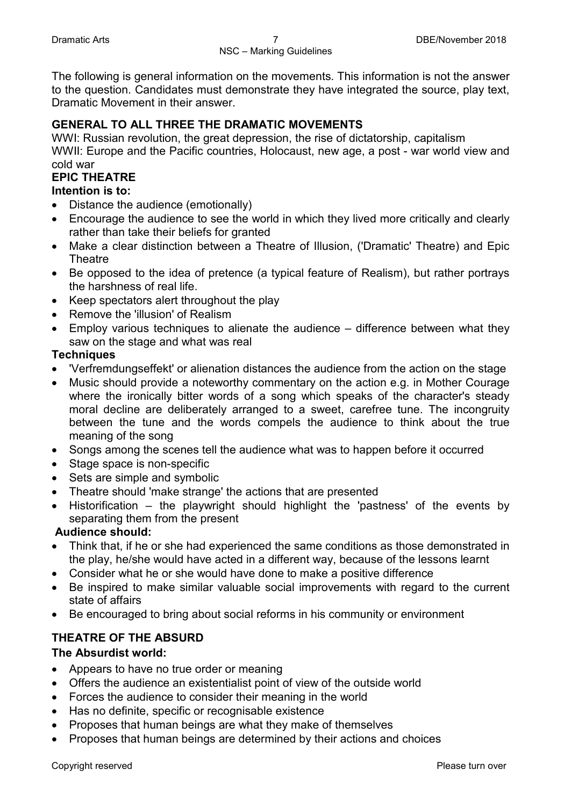The following is general information on the movements. This information is not the answer to the question. Candidates must demonstrate they have integrated the source, play text, Dramatic Movement in their answer.

### **GENERAL TO ALL THREE THE DRAMATIC MOVEMENTS**

WWI: Russian revolution, the great depression, the rise of dictatorship, capitalism WWII: Europe and the Pacific countries, Holocaust, new age, a post - war world view and cold war

### **EPIC THEATRE**

### **Intention is to:**

- Distance the audience (emotionally)
- Encourage the audience to see the world in which they lived more critically and clearly rather than take their beliefs for granted
- Make a clear distinction between a Theatre of Illusion, ('Dramatic' Theatre) and Epic **Theatre**
- Be opposed to the idea of pretence (a typical feature of Realism), but rather portrays the harshness of real life.
- Keep spectators alert throughout the play
- Remove the 'illusion' of Realism
- Employ various techniques to alienate the audience difference between what they saw on the stage and what was real

### **Techniques**

- 'Verfremdungseffekt' or alienation distances the audience from the action on the stage
- Music should provide a noteworthy commentary on the action e.g. in Mother Courage where the ironically bitter words of a song which speaks of the character's steady moral decline are deliberately arranged to a sweet, carefree tune. The incongruity between the tune and the words compels the audience to think about the true meaning of the song
- Songs among the scenes tell the audience what was to happen before it occurred
- Stage space is non-specific
- Sets are simple and symbolic
- Theatre should 'make strange' the actions that are presented
- Historification the playwright should highlight the 'pastness' of the events by separating them from the present

### **Audience should:**

- Think that, if he or she had experienced the same conditions as those demonstrated in the play, he/she would have acted in a different way, because of the lessons learnt
- Consider what he or she would have done to make a positive difference
- Be inspired to make similar valuable social improvements with regard to the current state of affairs
- Be encouraged to bring about social reforms in his community or environment

### **THEATRE OF THE ABSURD**

### **The Absurdist world:**

- Appears to have no true order or meaning
- Offers the audience an existentialist point of view of the outside world
- Forces the audience to consider their meaning in the world
- Has no definite, specific or recognisable existence
- Proposes that human beings are what they make of themselves
- Proposes that human beings are determined by their actions and choices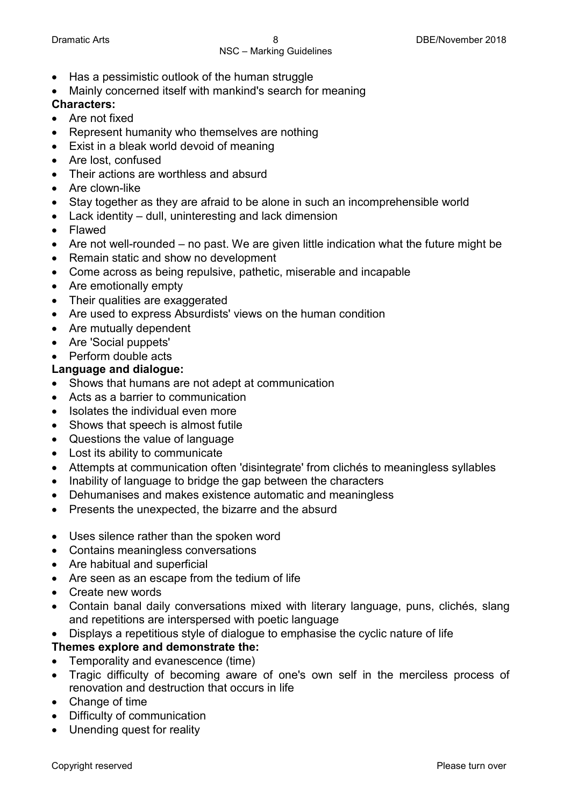- Has a pessimistic outlook of the human struggle
- Mainly concerned itself with mankind's search for meaning

### **Characters:**

- Are not fixed
- Represent humanity who themselves are nothing
- Exist in a bleak world devoid of meaning
- Are lost, confused
- Their actions are worthless and absurd
- Are clown-like
- Stay together as they are afraid to be alone in such an incomprehensible world
- Lack identity dull, uninteresting and lack dimension
- Flawed
- Are not well-rounded no past. We are given little indication what the future might be
- Remain static and show no development
- Come across as being repulsive, pathetic, miserable and incapable
- Are emotionally empty
- Their qualities are exaggerated
- Are used to express Absurdists' views on the human condition
- Are mutually dependent
- Are 'Social puppets'
- Perform double acts

### **Language and dialogue:**

- Shows that humans are not adept at communication
- Acts as a barrier to communication
- Isolates the individual even more
- Shows that speech is almost futile
- Questions the value of language
- Lost its ability to communicate
- Attempts at communication often 'disintegrate' from clichés to meaningless syllables
- Inability of language to bridge the gap between the characters
- Dehumanises and makes existence automatic and meaningless
- Presents the unexpected, the bizarre and the absurd
- Uses silence rather than the spoken word
- Contains meaningless conversations
- Are habitual and superficial
- Are seen as an escape from the tedium of life
- Create new words
- Contain banal daily conversations mixed with literary language, puns, clichés, slang and repetitions are interspersed with poetic language
- Displays a repetitious style of dialogue to emphasise the cyclic nature of life

### **Themes explore and demonstrate the:**

- Temporality and evanescence (time)
- Tragic difficulty of becoming aware of one's own self in the merciless process of renovation and destruction that occurs in life
- Change of time
- Difficulty of communication
- Unending quest for reality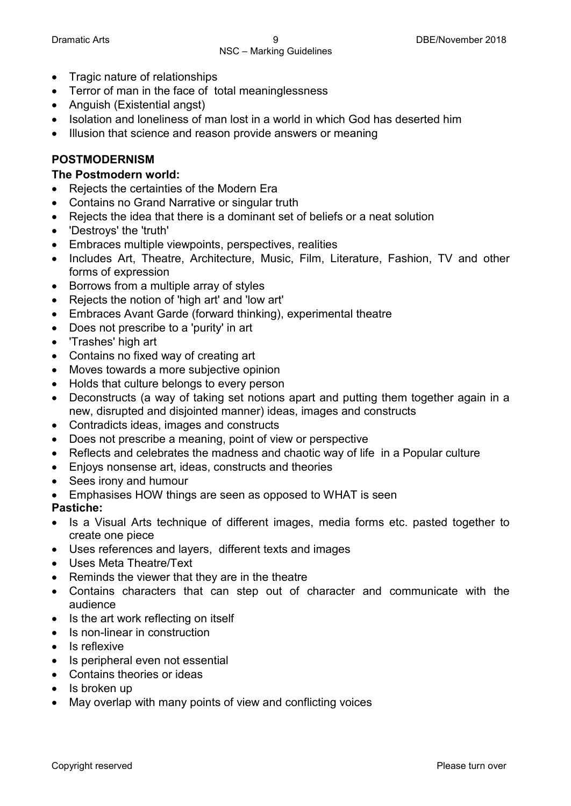- Tragic nature of relationships
- Terror of man in the face of total meaninglessness
- Anguish (Existential angst)
- Isolation and loneliness of man lost in a world in which God has deserted him
- Illusion that science and reason provide answers or meaning

### **POSTMODERNISM**

### **The Postmodern world:**

- Rejects the certainties of the Modern Era
- Contains no Grand Narrative or singular truth
- Rejects the idea that there is a dominant set of beliefs or a neat solution
- 'Destroys' the 'truth'
- Embraces multiple viewpoints, perspectives, realities
- Includes Art, Theatre, Architecture, Music, Film, Literature, Fashion, TV and other forms of expression
- Borrows from a multiple array of styles
- Rejects the notion of 'high art' and 'low art'
- Embraces Avant Garde (forward thinking), experimental theatre
- Does not prescribe to a 'purity' in art
- 'Trashes' high art
- Contains no fixed way of creating art
- Moves towards a more subjective opinion
- Holds that culture belongs to every person
- Deconstructs (a way of taking set notions apart and putting them together again in a new, disrupted and disjointed manner) ideas, images and constructs
- Contradicts ideas, images and constructs
- Does not prescribe a meaning, point of view or perspective
- Reflects and celebrates the madness and chaotic way of life in a Popular culture
- Enjoys nonsense art, ideas, constructs and theories
- Sees irony and humour
- Emphasises HOW things are seen as opposed to WHAT is seen

### **Pastiche:**

- Is a Visual Arts technique of different images, media forms etc. pasted together to create one piece
- Uses references and layers, different texts and images
- Uses Meta Theatre/Text
- Reminds the viewer that they are in the theatre
- Contains characters that can step out of character and communicate with the audience
- Is the art work reflecting on itself
- Is non-linear in construction
- Is reflexive
- Is peripheral even not essential
- Contains theories or ideas
- Is broken up
- May overlap with many points of view and conflicting voices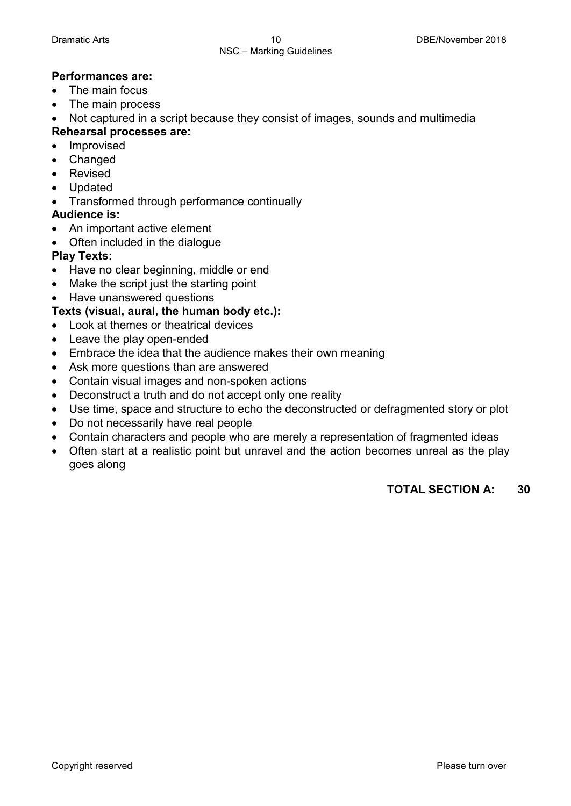### **Performances are:**

- The main focus
- The main process

• Not captured in a script because they consist of images, sounds and multimedia

- **Rehearsal processes are:**
- Improvised
- Changed
- Revised
- Updated
- Transformed through performance continually

### **Audience is:**

- An important active element
- Often included in the dialogue

### **Play Texts:**

- Have no clear beginning, middle or end
- Make the script just the starting point
- Have unanswered questions

### **Texts (visual, aural, the human body etc.):**

- Look at themes or theatrical devices
- Leave the play open-ended
- Embrace the idea that the audience makes their own meaning
- Ask more questions than are answered
- Contain visual images and non-spoken actions
- Deconstruct a truth and do not accept only one reality
- Use time, space and structure to echo the deconstructed or defragmented story or plot
- Do not necessarily have real people
- Contain characters and people who are merely a representation of fragmented ideas
- Often start at a realistic point but unravel and the action becomes unreal as the play goes along

### **TOTAL SECTION A: 30**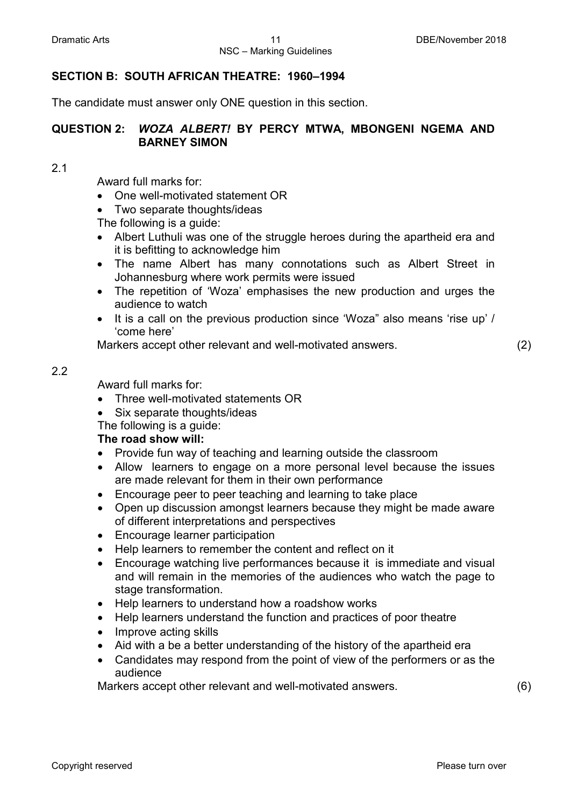### **SECTION B: SOUTH AFRICAN THEATRE: 1960–1994**

The candidate must answer only ONE question in this section.

### **QUESTION 2:** *WOZA ALBERT!* **BY PERCY MTWA, MBONGENI NGEMA AND BARNEY SIMON**

2.1

Award full marks for:

- One well-motivated statement OR
- Two separate thoughts/ideas

The following is a guide:

- Albert Luthuli was one of the struggle heroes during the apartheid era and it is befitting to acknowledge him
- The name Albert has many connotations such as Albert Street in Johannesburg where work permits were issued
- The repetition of 'Woza' emphasises the new production and urges the audience to watch
- It is a call on the previous production since 'Woza" also means 'rise up' / 'come here'

Markers accept other relevant and well-motivated answers. (2)

### 2.2

Award full marks for:

- Three well-motivated statements OR
- Six separate thoughts/ideas
- The following is a guide:

### **The road show will:**

- Provide fun way of teaching and learning outside the classroom
- Allow learners to engage on a more personal level because the issues are made relevant for them in their own performance
- Encourage peer to peer teaching and learning to take place
- Open up discussion amongst learners because they might be made aware of different interpretations and perspectives
- Encourage learner participation
- Help learners to remember the content and reflect on it
- Encourage watching live performances because it is immediate and visual and will remain in the memories of the audiences who watch the page to stage transformation.
- Help learners to understand how a roadshow works
- Help learners understand the function and practices of poor theatre
- Improve acting skills
- Aid with a be a better understanding of the history of the apartheid era
- Candidates may respond from the point of view of the performers or as the audience

Markers accept other relevant and well-motivated answers. (6)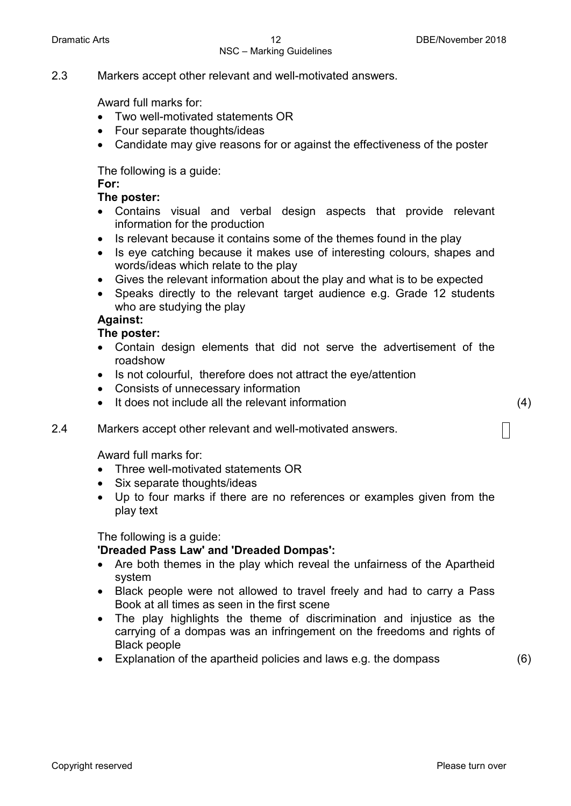## NSC – Marking Guidelines

2.3 Markers accept other relevant and well-motivated answers.

Award full marks for:

- Two well-motivated statements OR
- Four separate thoughts/ideas
- Candidate may give reasons for or against the effectiveness of the poster

The following is a guide:

### **For:**

### **The poster:**

- Contains visual and verbal design aspects that provide relevant information for the production
- Is relevant because it contains some of the themes found in the play
- Is eye catching because it makes use of interesting colours, shapes and words/ideas which relate to the play
- Gives the relevant information about the play and what is to be expected
- Speaks directly to the relevant target audience e.g. Grade 12 students who are studying the play

### **Against:**

### **The poster:**

- Contain design elements that did not serve the advertisement of the roadshow
- Is not colourful, therefore does not attract the eye/attention
- Consists of unnecessary information
- It does not include all the relevant information (4)

### 2.4 Markers accept other relevant and well-motivated answers.

Award full marks for:

- Three well-motivated statements OR
- Six separate thoughts/ideas
- Up to four marks if there are no references or examples given from the play text

### The following is a guide:

### **'Dreaded Pass Law' and 'Dreaded Dompas':**

- Are both themes in the play which reveal the unfairness of the Apartheid system
- Black people were not allowed to travel freely and had to carry a Pass Book at all times as seen in the first scene
- The play highlights the theme of discrimination and injustice as the carrying of a dompas was an infringement on the freedoms and rights of Black people
- Explanation of the apartheid policies and laws e.g. the dompass (6)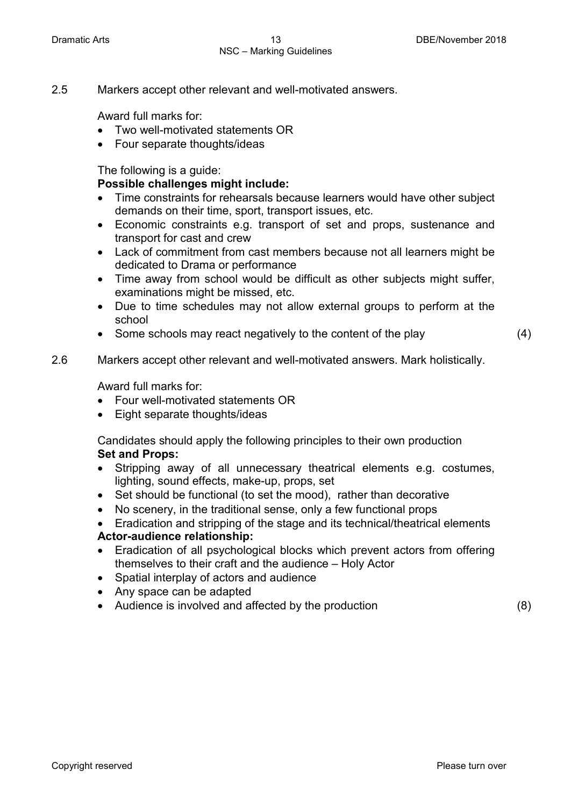2.5 Markers accept other relevant and well-motivated answers.

Award full marks for:

- Two well-motivated statements OR
- Four separate thoughts/ideas

The following is a guide:

### **Possible challenges might include:**

- Time constraints for rehearsals because learners would have other subject demands on their time, sport, transport issues, etc.
- Economic constraints e.g. transport of set and props, sustenance and transport for cast and crew
- Lack of commitment from cast members because not all learners might be dedicated to Drama or performance
- Time away from school would be difficult as other subjects might suffer, examinations might be missed, etc.
- Due to time schedules may not allow external groups to perform at the school
- Some schools may react negatively to the content of the play (4)

### 2.6 Markers accept other relevant and well-motivated answers. Mark holistically.

Award full marks for:

- Four well-motivated statements OR
- Eight separate thoughts/ideas

Candidates should apply the following principles to their own production **Set and Props:**

- Stripping away of all unnecessary theatrical elements e.g. costumes, lighting, sound effects, make-up, props, set
- Set should be functional (to set the mood), rather than decorative
- No scenery, in the traditional sense, only a few functional props
- Eradication and stripping of the stage and its technical/theatrical elements **Actor-audience relationship:**
- Eradication of all psychological blocks which prevent actors from offering themselves to their craft and the audience – Holy Actor
- Spatial interplay of actors and audience
- Any space can be adapted
- Audience is involved and affected by the production (8)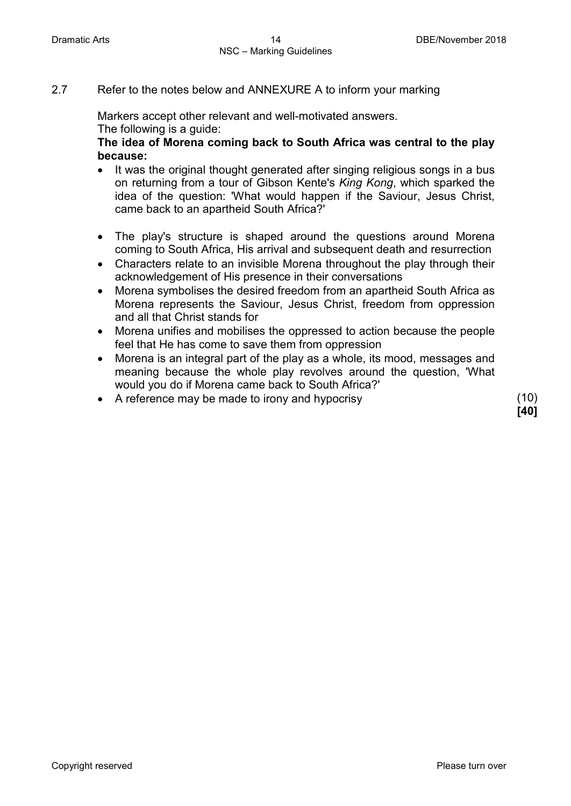### 2.7 Refer to the notes below and ANNEXURE A to inform your marking

Markers accept other relevant and well-motivated answers. The following is a guide:

**The idea of Morena coming back to South Africa was central to the play because:**

- It was the original thought generated after singing religious songs in a bus on returning from a tour of Gibson Kente's *King Kong*, which sparked the idea of the question: 'What would happen if the Saviour, Jesus Christ, came back to an apartheid South Africa?'
- The play's structure is shaped around the questions around Morena coming to South Africa, His arrival and subsequent death and resurrection
- Characters relate to an invisible Morena throughout the play through their acknowledgement of His presence in their conversations
- Morena symbolises the desired freedom from an apartheid South Africa as Morena represents the Saviour, Jesus Christ, freedom from oppression and all that Christ stands for
- Morena unifies and mobilises the oppressed to action because the people feel that He has come to save them from oppression
- Morena is an integral part of the play as a whole, its mood, messages and meaning because the whole play revolves around the question, 'What would you do if Morena came back to South Africa?'
- A reference may be made to irony and hypocrisy (10)

**[40]**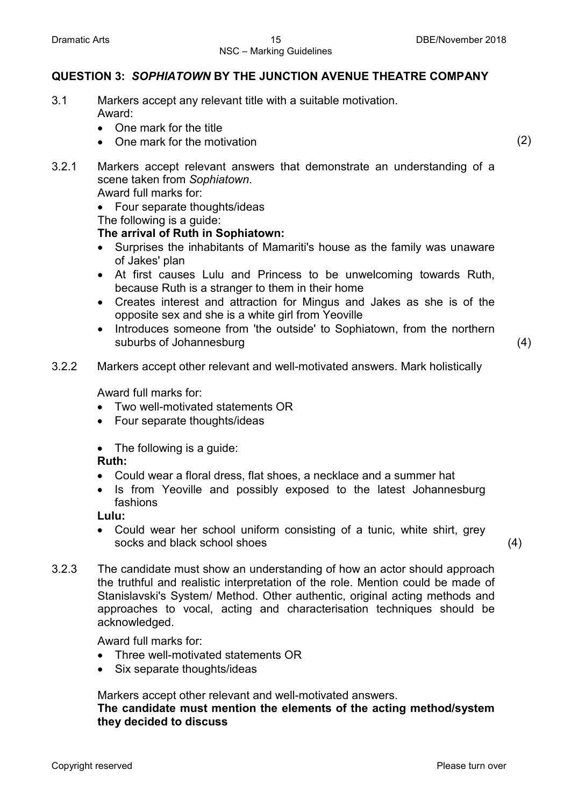### **QUESTION 3:** *SOPHIATOWN* **BY THE JUNCTION AVENUE THEATRE COMPANY**

- 3.1 Markers accept any relevant title with a suitable motivation. Award:
	- One mark for the title
	- One mark for the motivation (2)

- 3.2.1 Markers accept relevant answers that demonstrate an understanding of a scene taken from *Sophiatown*. Award full marks for:
	- Four separate thoughts/ideas

The following is a guide:

### **The arrival of Ruth in Sophiatown:**

- Surprises the inhabitants of Mamariti's house as the family was unaware of Jakes' plan
- At first causes Lulu and Princess to be unwelcoming towards Ruth, because Ruth is a stranger to them in their home
- Creates interest and attraction for Mingus and Jakes as she is of the opposite sex and she is a white girl from Yeoville
- Introduces someone from 'the outside' to Sophiatown, from the northern suburbs of Johannesburg (4)
- 3.2.2 Markers accept other relevant and well-motivated answers. Mark holistically

Award full marks for:

- Two well-motivated statements OR
- Four separate thoughts/ideas
- The following is a guide:

### **Ruth:**

- Could wear a floral dress, flat shoes, a necklace and a summer hat
- Is from Yeoville and possibly exposed to the latest Johannesburg fashions

**Lulu:**

• Could wear her school uniform consisting of a tunic, white shirt, grey socks and black school shoes (4)

3.2.3 The candidate must show an understanding of how an actor should approach the truthful and realistic interpretation of the role. Mention could be made of Stanislavski's System/ Method. Other authentic, original acting methods and approaches to vocal, acting and characterisation techniques should be acknowledged.

Award full marks for:

- Three well-motivated statements OR
- Six separate thoughts/ideas

Markers accept other relevant and well-motivated answers.

**The candidate must mention the elements of the acting method/system they decided to discuss**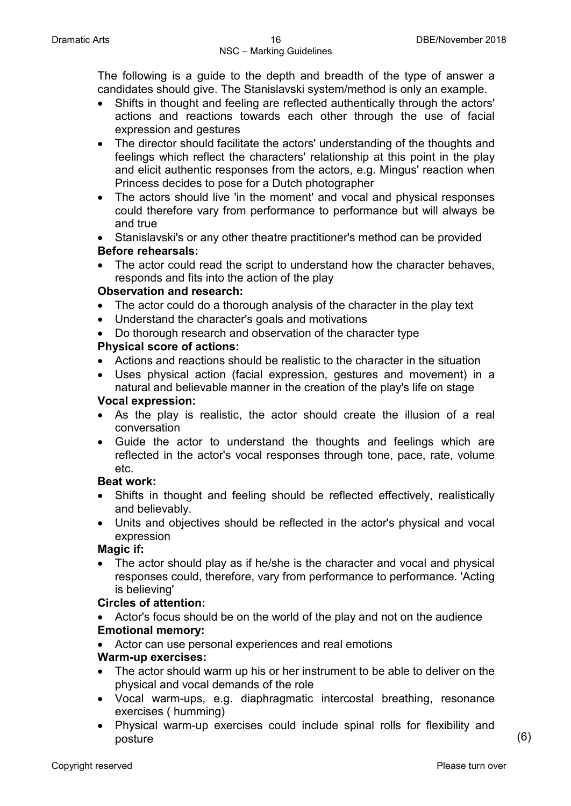The following is a guide to the depth and breadth of the type of answer a candidates should give. The Stanislavski system/method is only an example.

- Shifts in thought and feeling are reflected authentically through the actors' actions and reactions towards each other through the use of facial expression and gestures
- The director should facilitate the actors' understanding of the thoughts and feelings which reflect the characters' relationship at this point in the play and elicit authentic responses from the actors, e.g. Mingus' reaction when Princess decides to pose for a Dutch photographer
- The actors should live 'in the moment' and vocal and physical responses could therefore vary from performance to performance but will always be and true
- Stanislavski's or any other theatre practitioner's method can be provided **Before rehearsals:**
- The actor could read the script to understand how the character behaves, responds and fits into the action of the play

### **Observation and research:**

- The actor could do a thorough analysis of the character in the play text
- Understand the character's goals and motivations
- Do thorough research and observation of the character type

### **Physical score of actions:**

- Actions and reactions should be realistic to the character in the situation
- Uses physical action (facial expression, gestures and movement) in a natural and believable manner in the creation of the play's life on stage

### **Vocal expression:**

- As the play is realistic, the actor should create the illusion of a real conversation
- Guide the actor to understand the thoughts and feelings which are reflected in the actor's vocal responses through tone, pace, rate, volume etc.

### **Beat work:**

- Shifts in thought and feeling should be reflected effectively, realistically and believably.
- Units and objectives should be reflected in the actor's physical and vocal expression

### **Magic if:**

• The actor should play as if he/she is the character and vocal and physical responses could, therefore, vary from performance to performance. 'Acting is believing'

### **Circles of attention:**

- Actor's focus should be on the world of the play and not on the audience **Emotional memory:**
- Actor can use personal experiences and real emotions

### **Warm-up exercises:**

- The actor should warm up his or her instrument to be able to deliver on the physical and vocal demands of the role
- Vocal warm-ups, e.g. diaphragmatic intercostal breathing, resonance exercises ( humming)
- Physical warm-up exercises could include spinal rolls for flexibility and posture (6)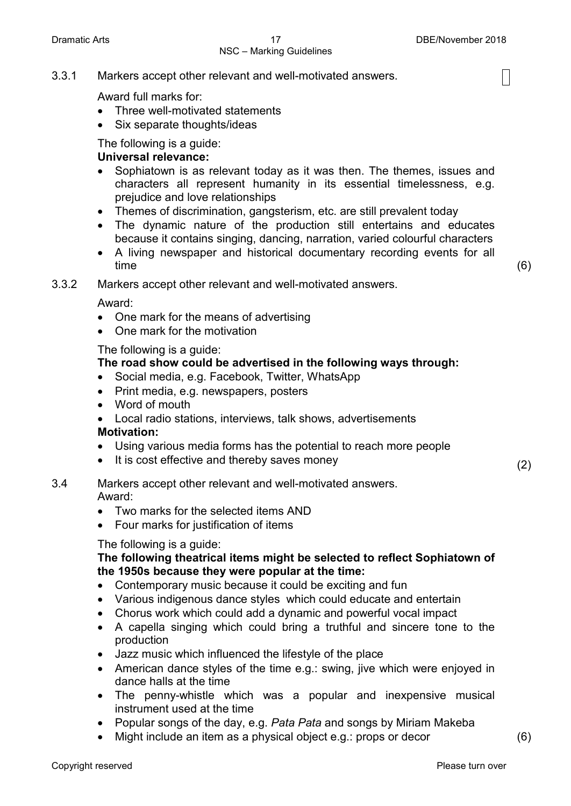### NSC – Marking Guidelines

 $\mathsf{I}$ 

3.3.1 Markers accept other relevant and well-motivated answers.

Award full marks for:

- Three well-motivated statements
- Six separate thoughts/ideas

The following is a guide:

### **Universal relevance:**

- Sophiatown is as relevant today as it was then. The themes, issues and characters all represent humanity in its essential timelessness, e.g. prejudice and love relationships
- Themes of discrimination, gangsterism, etc. are still prevalent today
- The dynamic nature of the production still entertains and educates because it contains singing, dancing, narration, varied colourful characters
- A living newspaper and historical documentary recording events for all time (6)

3.3.2 Markers accept other relevant and well-motivated answers.

Award:

- One mark for the means of advertising
- One mark for the motivation

The following is a guide:

### **The road show could be advertised in the following ways through:**

- Social media, e.g. Facebook, Twitter, WhatsApp
- Print media, e.g. newspapers, posters
- Word of mouth
- Local radio stations, interviews, talk shows, advertisements

### **Motivation:**

- Using various media forms has the potential to reach more people
- It is cost effective and thereby saves money  $(2)$

3.4 Markers accept other relevant and well-motivated answers. Award:

- Two marks for the selected items AND
- Four marks for justification of items

### The following is a guide:

### **The following theatrical items might be selected to reflect Sophiatown of the 1950s because they were popular at the time:**

- Contemporary music because it could be exciting and fun
- Various indigenous dance styles which could educate and entertain
- Chorus work which could add a dynamic and powerful vocal impact
- A capella singing which could bring a truthful and sincere tone to the production
- Jazz music which influenced the lifestyle of the place
- American dance styles of the time e.g.: swing, jive which were enjoyed in dance halls at the time
- The penny-whistle which was a popular and inexpensive musical instrument used at the time
- Popular songs of the day, e.g. *Pata Pata* and songs by Miriam Makeba
- Might include an item as a physical object e.g.: props or decor (6)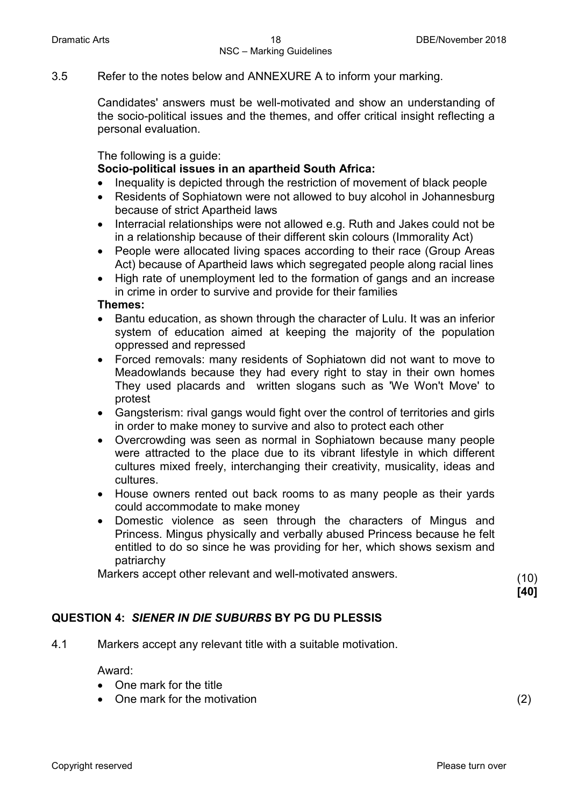3.5 Refer to the notes below and ANNEXURE A to inform your marking.

Candidates' answers must be well-motivated and show an understanding of the socio-political issues and the themes, and offer critical insight reflecting a personal evaluation.

The following is a guide:

### **Socio-political issues in an apartheid South Africa:**

- Inequality is depicted through the restriction of movement of black people
- Residents of Sophiatown were not allowed to buy alcohol in Johannesburg because of strict Apartheid laws
- Interracial relationships were not allowed e.g. Ruth and Jakes could not be in a relationship because of their different skin colours (Immorality Act)
- People were allocated living spaces according to their race (Group Areas Act) because of Apartheid laws which segregated people along racial lines
- High rate of unemployment led to the formation of gangs and an increase in crime in order to survive and provide for their families

#### **Themes:**

- Bantu education, as shown through the character of Lulu. It was an inferior system of education aimed at keeping the majority of the population oppressed and repressed
- Forced removals: many residents of Sophiatown did not want to move to Meadowlands because they had every right to stay in their own homes They used placards and written slogans such as 'We Won't Move' to protest
- Gangsterism: rival gangs would fight over the control of territories and girls in order to make money to survive and also to protect each other
- Overcrowding was seen as normal in Sophiatown because many people were attracted to the place due to its vibrant lifestyle in which different cultures mixed freely, interchanging their creativity, musicality, ideas and cultures.
- House owners rented out back rooms to as many people as their yards could accommodate to make money
- Domestic violence as seen through the characters of Mingus and Princess. Mingus physically and verbally abused Princess because he felt entitled to do so since he was providing for her, which shows sexism and patriarchy

Markers accept other relevant and well-motivated answers. (10)

**[40]**

### **QUESTION 4:** *SIENER IN DIE SUBURBS* **BY PG DU PLESSIS**

4.1 Markers accept any relevant title with a suitable motivation.

Award:

- One mark for the title
- One mark for the motivation (2)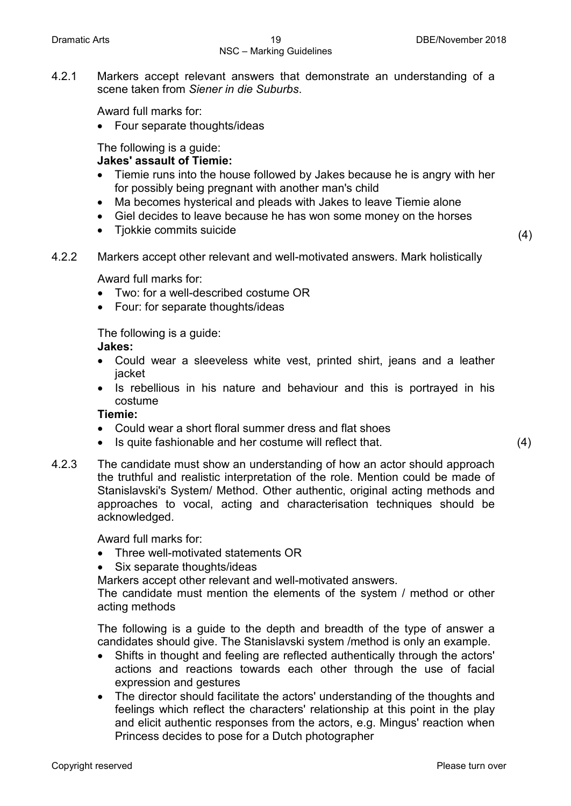## NSC – Marking Guidelines

4.2.1 Markers accept relevant answers that demonstrate an understanding of a scene taken from *Siener in die Suburbs*.

Award full marks for:

• Four separate thoughts/ideas

### The following is a guide:

### **Jakes' assault of Tiemie:**

- Tiemie runs into the house followed by Jakes because he is angry with her for possibly being pregnant with another man's child
- Ma becomes hysterical and pleads with Jakes to leave Tiemie alone
- Giel decides to leave because he has won some money on the horses
- Tjokkie commits suicide (4)
- 4.2.2 Markers accept other relevant and well-motivated answers. Mark holistically

Award full marks for:

- Two: for a well-described costume OR
- Four: for separate thoughts/ideas

The following is a guide:

### **Jakes:**

- Could wear a sleeveless white vest, printed shirt, jeans and a leather jacket
- Is rebellious in his nature and behaviour and this is portrayed in his costume

### **Tiemie:**

- Could wear a short floral summer dress and flat shoes
- Is quite fashionable and her costume will reflect that. (4)
- 4.2.3 The candidate must show an understanding of how an actor should approach the truthful and realistic interpretation of the role. Mention could be made of Stanislavski's System/ Method. Other authentic, original acting methods and approaches to vocal, acting and characterisation techniques should be acknowledged.

Award full marks for:

- Three well-motivated statements OR
- Six separate thoughts/ideas

Markers accept other relevant and well-motivated answers.

The candidate must mention the elements of the system / method or other acting methods

The following is a guide to the depth and breadth of the type of answer a candidates should give. The Stanislavski system /method is only an example.

- Shifts in thought and feeling are reflected authentically through the actors' actions and reactions towards each other through the use of facial expression and gestures
- The director should facilitate the actors' understanding of the thoughts and feelings which reflect the characters' relationship at this point in the play and elicit authentic responses from the actors, e.g. Mingus' reaction when Princess decides to pose for a Dutch photographer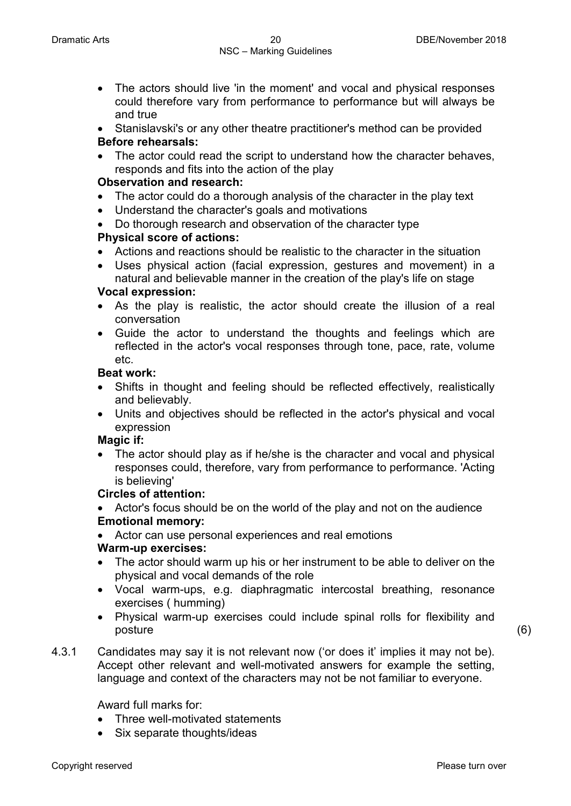- The actors should live 'in the moment' and vocal and physical responses could therefore vary from performance to performance but will always be and true
- Stanislavski's or any other theatre practitioner's method can be provided **Before rehearsals:**
- The actor could read the script to understand how the character behaves, responds and fits into the action of the play

### **Observation and research:**

- The actor could do a thorough analysis of the character in the play text
- Understand the character's goals and motivations
- Do thorough research and observation of the character type

### **Physical score of actions:**

- Actions and reactions should be realistic to the character in the situation
- Uses physical action (facial expression, gestures and movement) in a natural and believable manner in the creation of the play's life on stage

### **Vocal expression:**

- As the play is realistic, the actor should create the illusion of a real conversation
- Guide the actor to understand the thoughts and feelings which are reflected in the actor's vocal responses through tone, pace, rate, volume etc.

### **Beat work:**

- Shifts in thought and feeling should be reflected effectively, realistically and believably.
- Units and objectives should be reflected in the actor's physical and vocal expression

### **Magic if:**

The actor should play as if he/she is the character and vocal and physical responses could, therefore, vary from performance to performance. 'Acting is believing'

### **Circles of attention:**

• Actor's focus should be on the world of the play and not on the audience **Emotional memory:**

• Actor can use personal experiences and real emotions

### **Warm-up exercises:**

- The actor should warm up his or her instrument to be able to deliver on the physical and vocal demands of the role
- Vocal warm-ups, e.g. diaphragmatic intercostal breathing, resonance exercises ( humming)
- Physical warm-up exercises could include spinal rolls for flexibility and posture (6)

4.3.1 Candidates may say it is not relevant now ('or does it' implies it may not be). Accept other relevant and well-motivated answers for example the setting, language and context of the characters may not be not familiar to everyone.

Award full marks for:

- Three well-motivated statements
- Six separate thoughts/ideas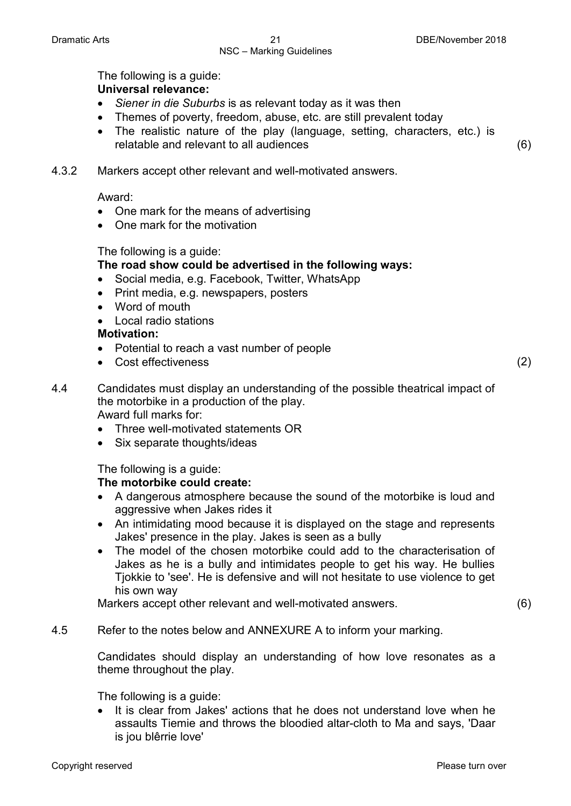## NSC – Marking Guidelines

The following is a guide: **Universal relevance:**

- *Siener in die Suburbs* is as relevant today as it was then
- Themes of poverty, freedom, abuse, etc. are still prevalent today
- The realistic nature of the play (language, setting, characters, etc.) is relatable and relevant to all audiences (6)
- 4.3.2 Markers accept other relevant and well-motivated answers.

Award:

- One mark for the means of advertising
- One mark for the motivation

### The following is a guide:

### **The road show could be advertised in the following ways:**

- Social media, e.g. Facebook, Twitter, WhatsApp
- Print media, e.g. newspapers, posters
- Word of mouth
- Local radio stations

### **Motivation:**

- Potential to reach a vast number of people
- Cost effectiveness (2)

- 4.4 Candidates must display an understanding of the possible theatrical impact of the motorbike in a production of the play. Award full marks for:
	- Three well-motivated statements OR
	- Six separate thoughts/ideas

The following is a guide:

### **The motorbike could create:**

- A dangerous atmosphere because the sound of the motorbike is loud and aggressive when Jakes rides it
- An intimidating mood because it is displayed on the stage and represents Jakes' presence in the play. Jakes is seen as a bully
- The model of the chosen motorbike could add to the characterisation of Jakes as he is a bully and intimidates people to get his way. He bullies Tjokkie to 'see'. He is defensive and will not hesitate to use violence to get his own way

Markers accept other relevant and well-motivated answers. (6)

4.5 Refer to the notes below and ANNEXURE A to inform your marking.

Candidates should display an understanding of how love resonates as a theme throughout the play.

The following is a guide:

It is clear from Jakes' actions that he does not understand love when he assaults Tiemie and throws the bloodied altar-cloth to Ma and says, 'Daar is jou blêrrie love'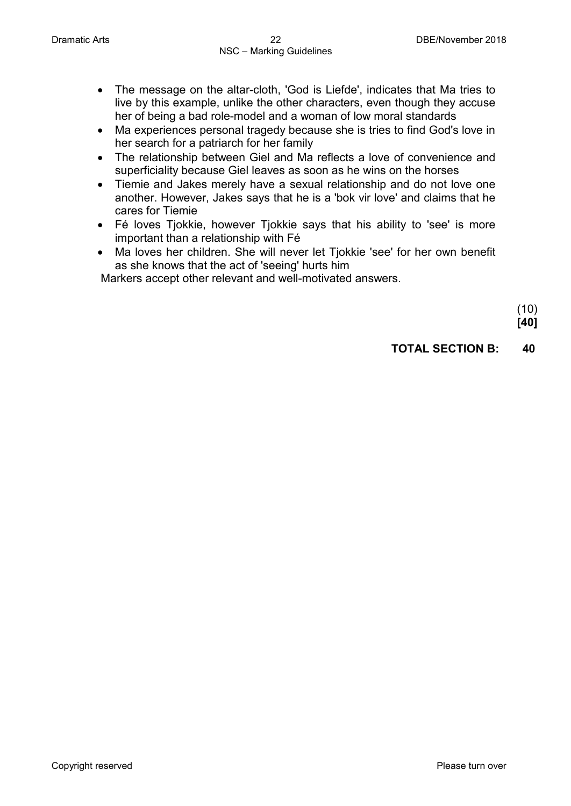- The message on the altar-cloth, 'God is Liefde', indicates that Ma tries to live by this example, unlike the other characters, even though they accuse her of being a bad role-model and a woman of low moral standards
- Ma experiences personal tragedy because she is tries to find God's love in her search for a patriarch for her family
- The relationship between Giel and Ma reflects a love of convenience and superficiality because Giel leaves as soon as he wins on the horses
- Tiemie and Jakes merely have a sexual relationship and do not love one another. However, Jakes says that he is a 'bok vir love' and claims that he cares for Tiemie
- Fé loves Tjokkie, however Tjokkie says that his ability to 'see' is more important than a relationship with Fé
- Ma loves her children. She will never let Tjokkie 'see' for her own benefit as she knows that the act of 'seeing' hurts him

Markers accept other relevant and well-motivated answers.

(10) **[40]**

### **TOTAL SECTION B: 40**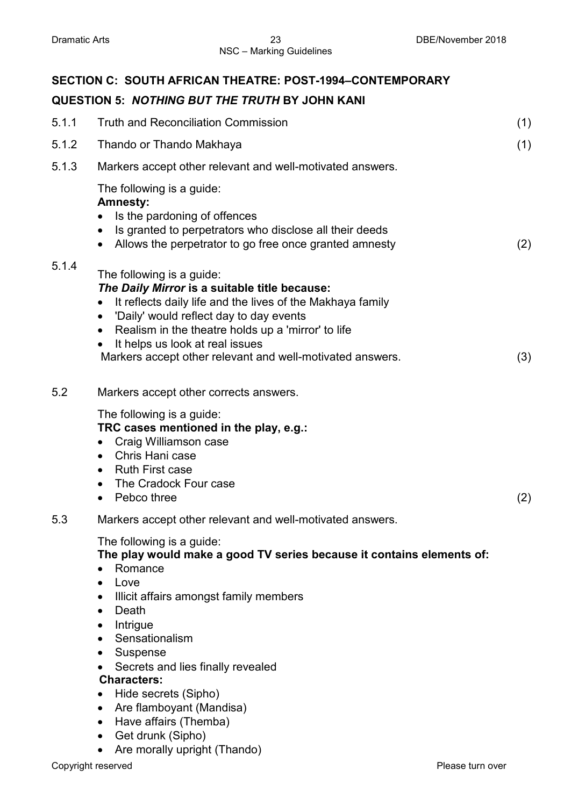|       | SECTION C: SOUTH AFRICAN THEATRE: POST-1994-CONTEMPORARY                                                                                                                                                                                                                                                                                                                                                                                                                         |     |
|-------|----------------------------------------------------------------------------------------------------------------------------------------------------------------------------------------------------------------------------------------------------------------------------------------------------------------------------------------------------------------------------------------------------------------------------------------------------------------------------------|-----|
|       | <b>QUESTION 5: NOTHING BUT THE TRUTH BY JOHN KANI</b>                                                                                                                                                                                                                                                                                                                                                                                                                            |     |
| 5.1.1 | <b>Truth and Reconciliation Commission</b>                                                                                                                                                                                                                                                                                                                                                                                                                                       | (1) |
| 5.1.2 | Thando or Thando Makhaya                                                                                                                                                                                                                                                                                                                                                                                                                                                         | (1) |
| 5.1.3 | Markers accept other relevant and well-motivated answers.                                                                                                                                                                                                                                                                                                                                                                                                                        |     |
|       | The following is a guide:<br><b>Amnesty:</b><br>Is the pardoning of offences<br>Is granted to perpetrators who disclose all their deeds<br>Allows the perpetrator to go free once granted amnesty                                                                                                                                                                                                                                                                                | (2) |
| 5.1.4 | The following is a guide:<br>The Daily Mirror is a suitable title because:<br>It reflects daily life and the lives of the Makhaya family<br>$\bullet$<br>'Daily' would reflect day to day events<br>$\bullet$<br>Realism in the theatre holds up a 'mirror' to life<br>$\bullet$<br>It helps us look at real issues<br>Markers accept other relevant and well-motivated answers.                                                                                                 | (3) |
| 5.2   | Markers accept other corrects answers.                                                                                                                                                                                                                                                                                                                                                                                                                                           |     |
|       | The following is a guide:<br>TRC cases mentioned in the play, e.g.:<br>Craig Williamson case<br>$\bullet$<br>Chris Hani case<br>$\bullet$<br><b>Ruth First case</b><br>$\bullet$<br>The Cradock Four case<br>Pebco three<br>$\bullet$                                                                                                                                                                                                                                            | (2) |
| 5.3   | Markers accept other relevant and well-motivated answers.                                                                                                                                                                                                                                                                                                                                                                                                                        |     |
|       | The following is a guide:<br>The play would make a good TV series because it contains elements of:<br>Romance<br>Love<br>$\bullet$<br>Illicit affairs amongst family members<br>$\bullet$<br>Death<br>$\bullet$<br>Intrigue<br>Sensationalism<br>Suspense<br>$\bullet$<br>Secrets and lies finally revealed<br><b>Characters:</b><br>Hide secrets (Sipho)<br>Are flamboyant (Mandisa)<br>Have affairs (Themba)<br>$\bullet$<br>Get drunk (Sipho)<br>Are morally upright (Thando) |     |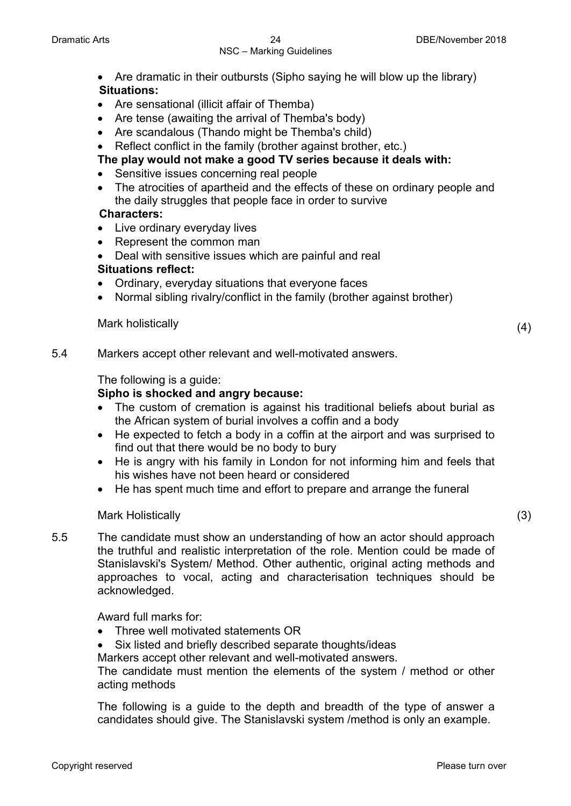### NSC – Marking Guidelines

- Are dramatic in their outbursts (Sipho saying he will blow up the library) **Situations:**
- Are sensational (illicit affair of Themba)
- Are tense (awaiting the arrival of Themba's body)
- Are scandalous (Thando might be Themba's child)
- Reflect conflict in the family (brother against brother, etc.)

**The play would not make a good TV series because it deals with:**

- Sensitive issues concerning real people
- The atrocities of apartheid and the effects of these on ordinary people and the daily struggles that people face in order to survive

### **Characters:**

- Live ordinary everyday lives
- Represent the common man
- Deal with sensitive issues which are painful and real **Situations reflect:**
- Ordinary, everyday situations that everyone faces
- Normal sibling rivalry/conflict in the family (brother against brother)

Mark holistically (4)

5.4 Markers accept other relevant and well-motivated answers.

The following is a guide:

### **Sipho is shocked and angry because:**

- The custom of cremation is against his traditional beliefs about burial as the African system of burial involves a coffin and a body
- He expected to fetch a body in a coffin at the airport and was surprised to find out that there would be no body to bury
- He is angry with his family in London for not informing him and feels that his wishes have not been heard or considered
- He has spent much time and effort to prepare and arrange the funeral

### Mark Holistically (3)

5.5 The candidate must show an understanding of how an actor should approach the truthful and realistic interpretation of the role. Mention could be made of Stanislavski's System/ Method. Other authentic, original acting methods and approaches to vocal, acting and characterisation techniques should be acknowledged.

Award full marks for:

- Three well motivated statements OR
- Six listed and briefly described separate thoughts/ideas Markers accept other relevant and well-motivated answers. The candidate must mention the elements of the system / method or other

acting methods

The following is a guide to the depth and breadth of the type of answer a candidates should give. The Stanislavski system /method is only an example.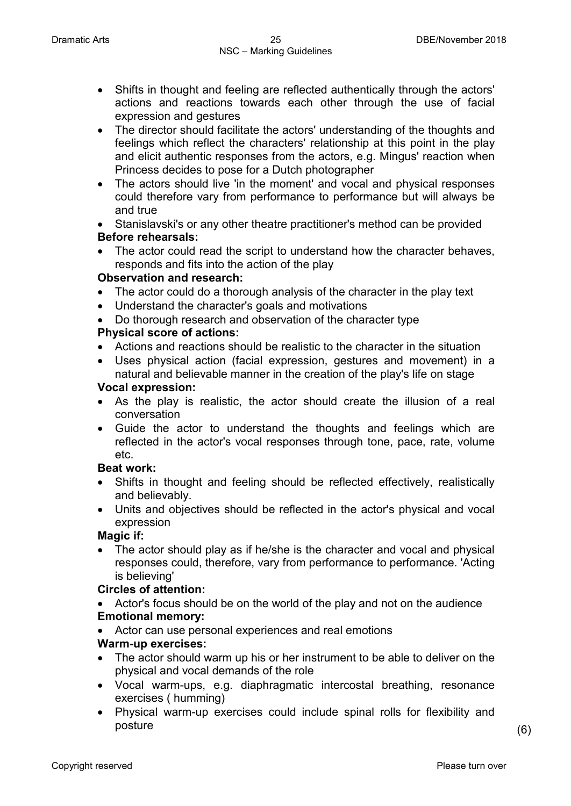- Shifts in thought and feeling are reflected authentically through the actors' actions and reactions towards each other through the use of facial expression and gestures
- The director should facilitate the actors' understanding of the thoughts and feelings which reflect the characters' relationship at this point in the play and elicit authentic responses from the actors, e.g. Mingus' reaction when Princess decides to pose for a Dutch photographer
- The actors should live 'in the moment' and vocal and physical responses could therefore vary from performance to performance but will always be and true
- Stanislavski's or any other theatre practitioner's method can be provided **Before rehearsals:**
- The actor could read the script to understand how the character behaves, responds and fits into the action of the play

### **Observation and research:**

- The actor could do a thorough analysis of the character in the play text
- Understand the character's goals and motivations
- Do thorough research and observation of the character type

### **Physical score of actions:**

- Actions and reactions should be realistic to the character in the situation
- Uses physical action (facial expression, gestures and movement) in a natural and believable manner in the creation of the play's life on stage

### **Vocal expression:**

- As the play is realistic, the actor should create the illusion of a real conversation
- Guide the actor to understand the thoughts and feelings which are reflected in the actor's vocal responses through tone, pace, rate, volume etc.

### **Beat work:**

- Shifts in thought and feeling should be reflected effectively, realistically and believably.
- Units and objectives should be reflected in the actor's physical and vocal expression

### **Magic if:**

The actor should play as if he/she is the character and vocal and physical responses could, therefore, vary from performance to performance. 'Acting is believing'

### **Circles of attention:**

- Actor's focus should be on the world of the play and not on the audience **Emotional memory:**
- Actor can use personal experiences and real emotions

### **Warm-up exercises:**

- The actor should warm up his or her instrument to be able to deliver on the physical and vocal demands of the role
- Vocal warm-ups, e.g. diaphragmatic intercostal breathing, resonance exercises ( humming)
- Physical warm-up exercises could include spinal rolls for flexibility and posture (6)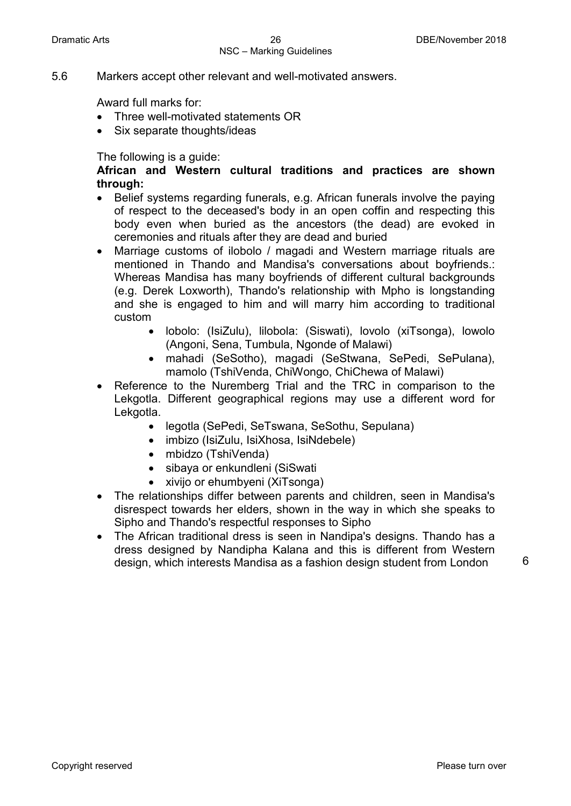5.6 Markers accept other relevant and well-motivated answers.

Award full marks for:

- Three well-motivated statements OR
- Six separate thoughts/ideas

The following is a guide:

**African and Western cultural traditions and practices are shown through:**

- Belief systems regarding funerals, e.g. African funerals involve the paying of respect to the deceased's body in an open coffin and respecting this body even when buried as the ancestors (the dead) are evoked in ceremonies and rituals after they are dead and buried
- Marriage customs of ilobolo / magadi and Western marriage rituals are mentioned in Thando and Mandisa's conversations about boyfriends.: Whereas Mandisa has many boyfriends of different cultural backgrounds (e.g. Derek Loxworth), Thando's relationship with Mpho is longstanding and she is engaged to him and will marry him according to traditional custom
	- lobolo: (IsiZulu), lilobola: (Siswati), lovolo (xiTsonga), lowolo (Angoni, Sena, Tumbula, Ngonde of Malawi)
	- mahadi (SeSotho), magadi (SeStwana, SePedi, SePulana), mamolo (TshiVenda, ChiWongo, ChiChewa of Malawi)
- Reference to the Nuremberg Trial and the TRC in comparison to the Lekgotla. Different geographical regions may use a different word for Lekgotla.
	- legotla (SePedi, SeTswana, SeSothu, Sepulana)
	- imbizo (IsiZulu, IsiXhosa, IsiNdebele)
	- mbidzo (TshiVenda)
	- sibaya or enkundleni (SiSwati
	- xivijo or ehumbyeni (XiTsonga)
- The relationships differ between parents and children, seen in Mandisa's disrespect towards her elders, shown in the way in which she speaks to Sipho and Thando's respectful responses to Sipho
- The African traditional dress is seen in Nandipa's designs. Thando has a dress designed by Nandipha Kalana and this is different from Western design, which interests Mandisa as a fashion design student from London <sup>6</sup>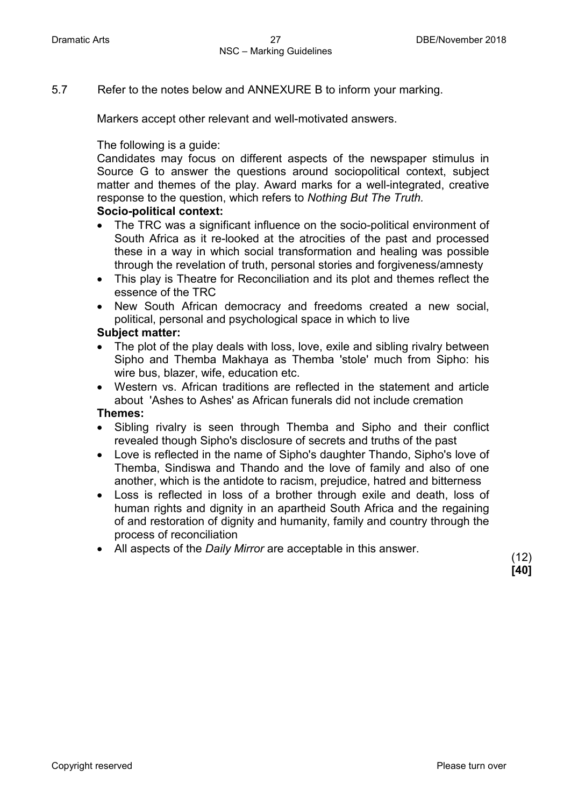5.7 Refer to the notes below and ANNEXURE B to inform your marking.

Markers accept other relevant and well-motivated answers.

The following is a guide:

Candidates may focus on different aspects of the newspaper stimulus in Source G to answer the questions around sociopolitical context, subject matter and themes of the play. Award marks for a well-integrated, creative response to the question, which refers to *Nothing But The Truth.*

### **Socio-political context:**

- The TRC was a significant influence on the socio-political environment of South Africa as it re-looked at the atrocities of the past and processed these in a way in which social transformation and healing was possible through the revelation of truth, personal stories and forgiveness/amnesty
- This play is Theatre for Reconciliation and its plot and themes reflect the essence of the TRC
- New South African democracy and freedoms created a new social, political, personal and psychological space in which to live

### **Subject matter:**

- The plot of the play deals with loss, love, exile and sibling rivalry between Sipho and Themba Makhaya as Themba 'stole' much from Sipho: his wire bus, blazer, wife, education etc.
- Western vs. African traditions are reflected in the statement and article about 'Ashes to Ashes' as African funerals did not include cremation

### **Themes:**

- Sibling rivalry is seen through Themba and Sipho and their conflict revealed though Sipho's disclosure of secrets and truths of the past
- Love is reflected in the name of Sipho's daughter Thando, Sipho's love of Themba, Sindiswa and Thando and the love of family and also of one another, which is the antidote to racism, prejudice, hatred and bitterness
- Loss is reflected in loss of a brother through exile and death, loss of human rights and dignity in an apartheid South Africa and the regaining of and restoration of dignity and humanity, family and country through the process of reconciliation
- All aspects of the *Daily Mirror* are acceptable in this answer. (12)

**[40]**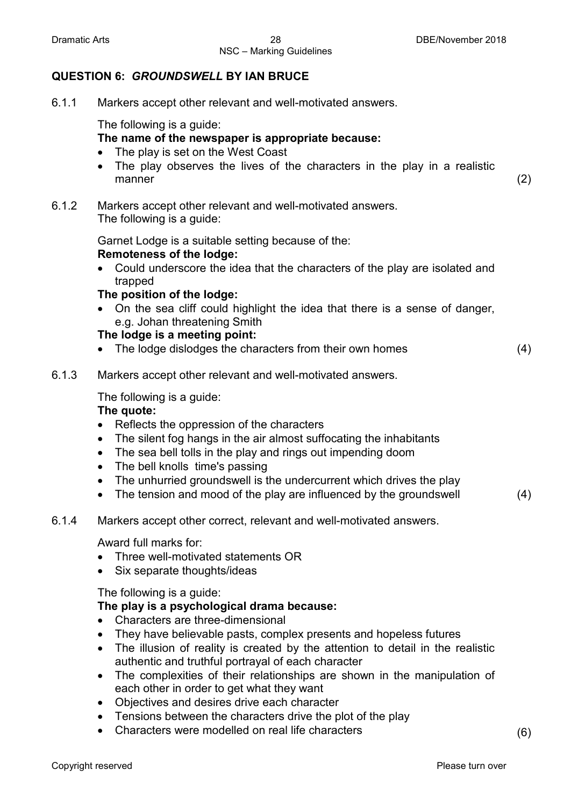### **QUESTION 6:** *GROUNDSWELL* **BY IAN BRUCE**

6.1.1 Markers accept other relevant and well-motivated answers.

The following is a guide:

### **The name of the newspaper is appropriate because:**

- The play is set on the West Coast
- The play observes the lives of the characters in the play in a realistic manner (2)
- 6.1.2 Markers accept other relevant and well-motivated answers. The following is a guide:

Garnet Lodge is a suitable setting because of the: **Remoteness of the lodge:**

• Could underscore the idea that the characters of the play are isolated and trapped

### **The position of the lodge:**

• On the sea cliff could highlight the idea that there is a sense of danger, e.g. Johan threatening Smith

### **The lodge is a meeting point:**

- The lodge dislodges the characters from their own homes (4)
	-

6.1.3 Markers accept other relevant and well-motivated answers.

The following is a guide:

### **The quote:**

- Reflects the oppression of the characters
- The silent fog hangs in the air almost suffocating the inhabitants
- The sea bell tolls in the play and rings out impending doom
- The bell knolls time's passing
- The unhurried groundswell is the undercurrent which drives the play
- The tension and mood of the play are influenced by the groundswell (4)
- 6.1.4 Markers accept other correct, relevant and well-motivated answers.

Award full marks for:

- Three well-motivated statements OR
- Six separate thoughts/ideas

The following is a guide:

### **The play is a psychological drama because:**

- Characters are three-dimensional
- They have believable pasts, complex presents and hopeless futures
- The illusion of reality is created by the attention to detail in the realistic authentic and truthful portrayal of each character
- The complexities of their relationships are shown in the manipulation of each other in order to get what they want
- Objectives and desires drive each character
- Tensions between the characters drive the plot of the play
- Characters were modelled on real life characters (6)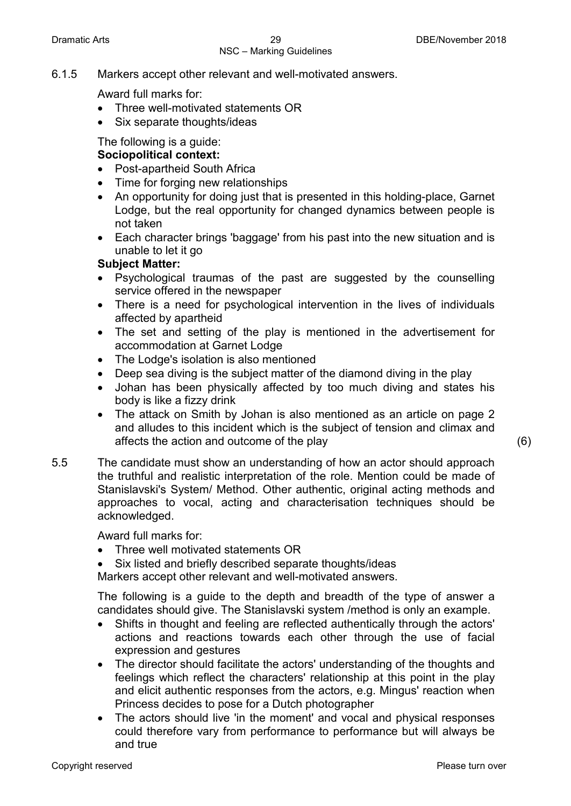6.1.5 Markers accept other relevant and well-motivated answers.

Award full marks for:

- Three well-motivated statements OR
- Six separate thoughts/ideas

The following is a guide:

### **Sociopolitical context:**

- Post-apartheid South Africa
- Time for forging new relationships
- An opportunity for doing just that is presented in this holding-place, Garnet Lodge, but the real opportunity for changed dynamics between people is not taken
- Each character brings 'baggage' from his past into the new situation and is unable to let it go

### **Subject Matter:**

- Psychological traumas of the past are suggested by the counselling service offered in the newspaper
- There is a need for psychological intervention in the lives of individuals affected by apartheid
- The set and setting of the play is mentioned in the advertisement for accommodation at Garnet Lodge
- The Lodge's isolation is also mentioned
- Deep sea diving is the subject matter of the diamond diving in the play
- Johan has been physically affected by too much diving and states his body is like a fizzy drink
- The attack on Smith by Johan is also mentioned as an article on page 2 and alludes to this incident which is the subject of tension and climax and affects the action and outcome of the play (6)
- 5.5 The candidate must show an understanding of how an actor should approach the truthful and realistic interpretation of the role. Mention could be made of Stanislavski's System/ Method. Other authentic, original acting methods and approaches to vocal, acting and characterisation techniques should be acknowledged.

Award full marks for:

- Three well motivated statements OR
- Six listed and briefly described separate thoughts/ideas

Markers accept other relevant and well-motivated answers.

The following is a guide to the depth and breadth of the type of answer a candidates should give. The Stanislavski system /method is only an example.

- Shifts in thought and feeling are reflected authentically through the actors' actions and reactions towards each other through the use of facial expression and gestures
- The director should facilitate the actors' understanding of the thoughts and feelings which reflect the characters' relationship at this point in the play and elicit authentic responses from the actors, e.g. Mingus' reaction when Princess decides to pose for a Dutch photographer
- The actors should live 'in the moment' and vocal and physical responses could therefore vary from performance to performance but will always be and true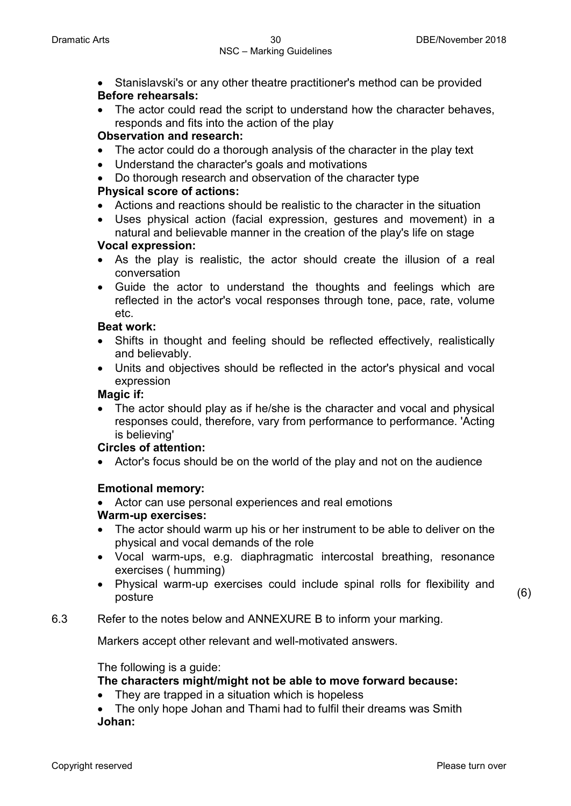- Stanislavski's or any other theatre practitioner's method can be provided **Before rehearsals:**
- The actor could read the script to understand how the character behaves, responds and fits into the action of the play

### **Observation and research:**

- The actor could do a thorough analysis of the character in the play text
- Understand the character's goals and motivations
- Do thorough research and observation of the character type **Physical score of actions:**
- Actions and reactions should be realistic to the character in the situation
- Uses physical action (facial expression, gestures and movement) in a natural and believable manner in the creation of the play's life on stage

### **Vocal expression:**

- As the play is realistic, the actor should create the illusion of a real conversation
- Guide the actor to understand the thoughts and feelings which are reflected in the actor's vocal responses through tone, pace, rate, volume etc.

### **Beat work:**

- Shifts in thought and feeling should be reflected effectively, realistically and believably.
- Units and objectives should be reflected in the actor's physical and vocal expression

### **Magic if:**

• The actor should play as if he/she is the character and vocal and physical responses could, therefore, vary from performance to performance. 'Acting is believing'

### **Circles of attention:**

• Actor's focus should be on the world of the play and not on the audience

### **Emotional memory:**

• Actor can use personal experiences and real emotions

### **Warm-up exercises:**

- The actor should warm up his or her instrument to be able to deliver on the physical and vocal demands of the role
- Vocal warm-ups, e.g. diaphragmatic intercostal breathing, resonance exercises ( humming)
- Physical warm-up exercises could include spinal rolls for flexibility and posture (6)

### 6.3 Refer to the notes below and ANNEXURE B to inform your marking.

Markers accept other relevant and well-motivated answers.

### The following is a guide:

### **The characters might/might not be able to move forward because:**

- They are trapped in a situation which is hopeless
- The only hope Johan and Thami had to fulfil their dreams was Smith **Johan:**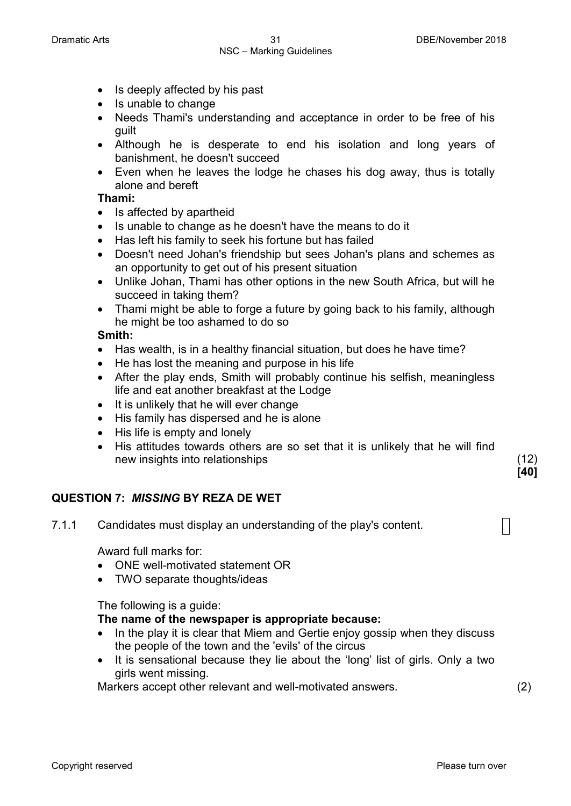- Is deeply affected by his past
- Is unable to change
- Needs Thami's understanding and acceptance in order to be free of his guilt
- Although he is desperate to end his isolation and long years of banishment, he doesn't succeed
- Even when he leaves the lodge he chases his dog away, thus is totally alone and bereft

### **Thami:**

- Is affected by apartheid
- Is unable to change as he doesn't have the means to do it
- Has left his family to seek his fortune but has failed
- Doesn't need Johan's friendship but sees Johan's plans and schemes as an opportunity to get out of his present situation
- Unlike Johan, Thami has other options in the new South Africa, but will he succeed in taking them?
- Thami might be able to forge a future by going back to his family, although he might be too ashamed to do so

### **Smith:**

- Has wealth, is in a healthy financial situation, but does he have time?
- He has lost the meaning and purpose in his life
- After the play ends, Smith will probably continue his selfish, meaningless life and eat another breakfast at the Lodge
- It is unlikely that he will ever change
- His family has dispersed and he is alone
- His life is empty and lonely
- His attitudes towards others are so set that it is unlikely that he will find new insights into relationships (12)

### **QUESTION 7:** *MISSING* **BY REZA DE WET**

7.1.1 Candidates must display an understanding of the play's content.

Award full marks for:

- ONE well-motivated statement OR
- TWO separate thoughts/ideas

The following is a guide:

**The name of the newspaper is appropriate because:**

- In the play it is clear that Miem and Gertie enjoy gossip when they discuss the people of the town and the 'evils' of the circus
- It is sensational because they lie about the 'long' list of girls. Only a two girls went missing.

Markers accept other relevant and well-motivated answers. (2)

**[40]**

 $\vert \ \vert$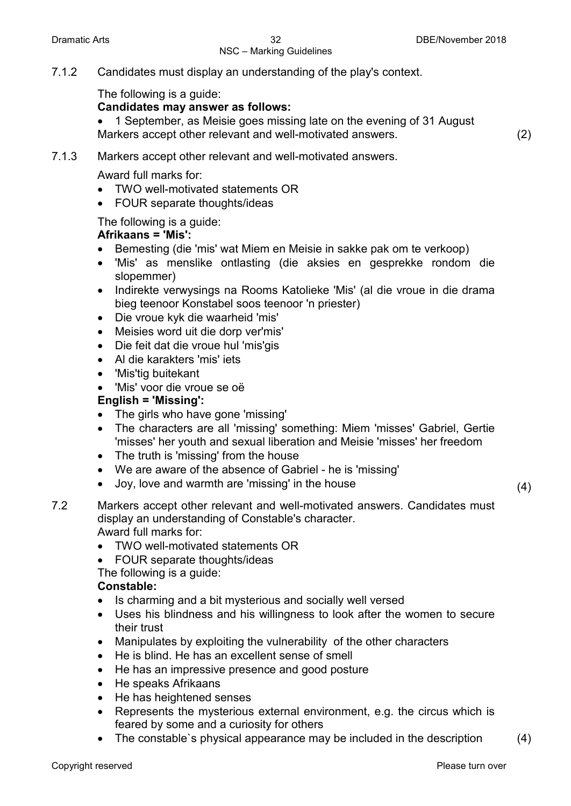## NSC – Marking Guidelines

### 7.1.2 Candidates must display an understanding of the play's context.

The following is a guide:

### **Candidates may answer as follows:**

• 1 September, as Meisie goes missing late on the evening of 31 August Markers accept other relevant and well-motivated answers. (2)

### 7.1.3 Markers accept other relevant and well-motivated answers.

Award full marks for:

- TWO well-motivated statements OR
- FOUR separate thoughts/ideas

### The following is a guide:

### **Afrikaans = 'Mis':**

- Bemesting (die 'mis' wat Miem en Meisie in sakke pak om te verkoop)
- 'Mis' as menslike ontlasting (die aksies en gesprekke rondom die slopemmer)
- Indirekte verwysings na Rooms Katolieke 'Mis' (al die vroue in die drama bieg teenoor Konstabel soos teenoor 'n priester)
- Die vroue kyk die waarheid 'mis'
- Meisies word uit die dorp ver'mis'
- Die feit dat die vroue hul 'mis'gis
- Al die karakters 'mis' iets
- 'Mis'tig buitekant
- 'Mis' voor die vroue se oë

### **English = 'Missing':**

- The girls who have gone 'missing'
- The characters are all 'missing' something: Miem 'misses' Gabriel, Gertie 'misses' her youth and sexual liberation and Meisie 'misses' her freedom
- The truth is 'missing' from the house
- We are aware of the absence of Gabriel he is 'missing'
- Joy, love and warmth are 'missing' in the house (4)
- 7.2 Markers accept other relevant and well-motivated answers. Candidates must display an understanding of Constable's character. Award full marks for:
	- TWO well-motivated statements OR
	- FOUR separate thoughts/ideas
	- The following is a guide:

### **Constable:**

- Is charming and a bit mysterious and socially well versed
- Uses his blindness and his willingness to look after the women to secure their trust
- Manipulates by exploiting the vulnerability of the other characters
- He is blind. He has an excellent sense of smell
- He has an impressive presence and good posture
- He speaks Afrikaans
- He has heightened senses
- Represents the mysterious external environment, e.g. the circus which is feared by some and a curiosity for others
- The constable's physical appearance may be included in the description (4)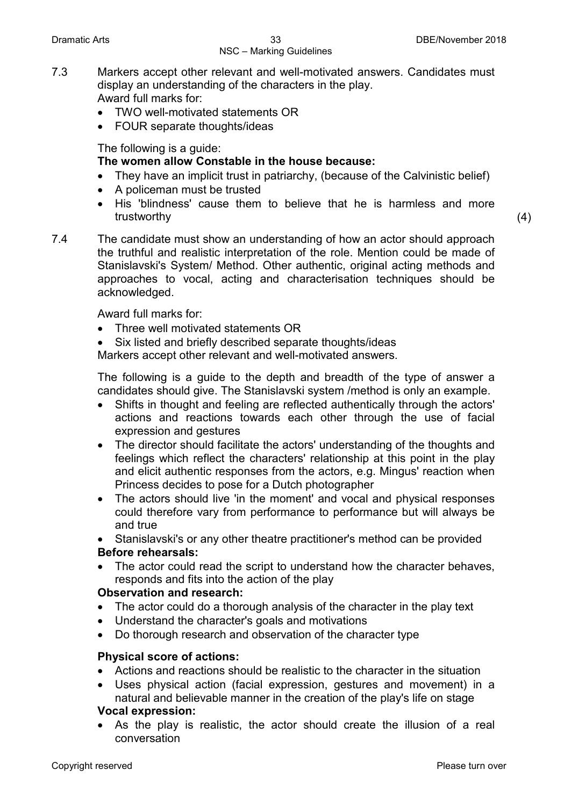- 7.3 Markers accept other relevant and well-motivated answers. Candidates must display an understanding of the characters in the play. Award full marks for:
	- TWO well-motivated statements OR
	- FOUR separate thoughts/ideas

The following is a guide:

### **The women allow Constable in the house because:**

- They have an implicit trust in patriarchy, (because of the Calvinistic belief)
- A policeman must be trusted
- His 'blindness' cause them to believe that he is harmless and more trustworthy (4)
- 7.4 The candidate must show an understanding of how an actor should approach the truthful and realistic interpretation of the role. Mention could be made of Stanislavski's System/ Method. Other authentic, original acting methods and approaches to vocal, acting and characterisation techniques should be acknowledged.

Award full marks for:

- Three well motivated statements OR
- Six listed and briefly described separate thoughts/ideas

Markers accept other relevant and well-motivated answers.

The following is a guide to the depth and breadth of the type of answer a candidates should give. The Stanislavski system /method is only an example.

- Shifts in thought and feeling are reflected authentically through the actors' actions and reactions towards each other through the use of facial expression and gestures
- The director should facilitate the actors' understanding of the thoughts and feelings which reflect the characters' relationship at this point in the play and elicit authentic responses from the actors, e.g. Mingus' reaction when Princess decides to pose for a Dutch photographer
- The actors should live 'in the moment' and vocal and physical responses could therefore vary from performance to performance but will always be and true

• Stanislavski's or any other theatre practitioner's method can be provided

### **Before rehearsals:**

The actor could read the script to understand how the character behaves, responds and fits into the action of the play

### **Observation and research:**

- The actor could do a thorough analysis of the character in the play text
- Understand the character's goals and motivations
- Do thorough research and observation of the character type

### **Physical score of actions:**

- Actions and reactions should be realistic to the character in the situation
- Uses physical action (facial expression, gestures and movement) in a natural and believable manner in the creation of the play's life on stage **Vocal expression:**

As the play is realistic, the actor should create the illusion of a real conversation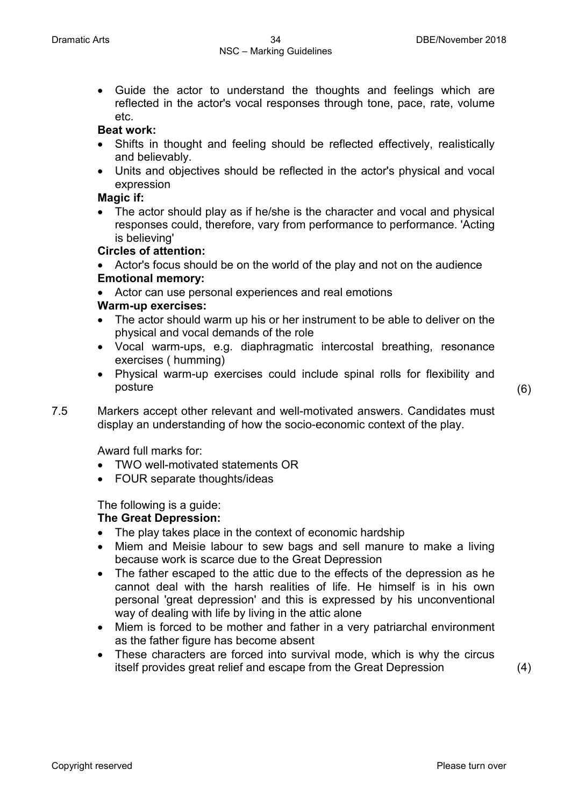• Guide the actor to understand the thoughts and feelings which are reflected in the actor's vocal responses through tone, pace, rate, volume etc.

### **Beat work:**

- Shifts in thought and feeling should be reflected effectively, realistically and believably.
- Units and objectives should be reflected in the actor's physical and vocal expression

### **Magic if:**

The actor should play as if he/she is the character and vocal and physical responses could, therefore, vary from performance to performance. 'Acting is believing'

### **Circles of attention:**

- Actor's focus should be on the world of the play and not on the audience **Emotional memory:**
- Actor can use personal experiences and real emotions

### **Warm-up exercises:**

- The actor should warm up his or her instrument to be able to deliver on the physical and vocal demands of the role
- Vocal warm-ups, e.g. diaphragmatic intercostal breathing, resonance exercises ( humming)
- Physical warm-up exercises could include spinal rolls for flexibility and posture (6)
- 7.5 Markers accept other relevant and well-motivated answers. Candidates must display an understanding of how the socio-economic context of the play.

Award full marks for:

- TWO well-motivated statements OR
- FOUR separate thoughts/ideas

The following is a guide:

### **The Great Depression:**

- The play takes place in the context of economic hardship
- Miem and Meisie labour to sew bags and sell manure to make a living because work is scarce due to the Great Depression
- The father escaped to the attic due to the effects of the depression as he cannot deal with the harsh realities of life. He himself is in his own personal 'great depression' and this is expressed by his unconventional way of dealing with life by living in the attic alone
- Miem is forced to be mother and father in a very patriarchal environment as the father figure has become absent
- These characters are forced into survival mode, which is why the circus itself provides great relief and escape from the Great Depression (4)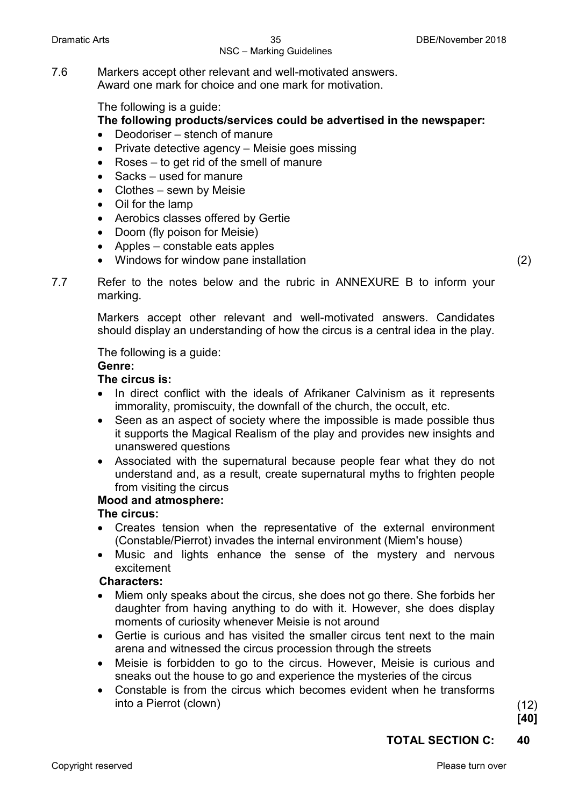7.6 Markers accept other relevant and well-motivated answers. Award one mark for choice and one mark for motivation.

The following is a guide:

### **The following products/services could be advertised in the newspaper:**

- Deodoriser stench of manure
- Private detective agency Meisie goes missing
- Roses to get rid of the smell of manure
- Sacks used for manure
- Clothes sewn by Meisie
- Oil for the lamp
- Aerobics classes offered by Gertie
- Doom (fly poison for Meisie)
- Apples constable eats apples
- Windows for window pane installation (2)

7.7 Refer to the notes below and the rubric in ANNEXURE B to inform your marking.

> Markers accept other relevant and well-motivated answers. Candidates should display an understanding of how the circus is a central idea in the play.

The following is a guide:

### **Genre:**

### **The circus is:**

- In direct conflict with the ideals of Afrikaner Calvinism as it represents immorality, promiscuity, the downfall of the church, the occult, etc.
- Seen as an aspect of society where the impossible is made possible thus it supports the Magical Realism of the play and provides new insights and unanswered questions
- Associated with the supernatural because people fear what they do not understand and, as a result, create supernatural myths to frighten people from visiting the circus

### **Mood and atmosphere:**

### **The circus:**

- Creates tension when the representative of the external environment (Constable/Pierrot) invades the internal environment (Miem's house)
- Music and lights enhance the sense of the mystery and nervous excitement

### **Characters:**

- Miem only speaks about the circus, she does not go there. She forbids her daughter from having anything to do with it. However, she does display moments of curiosity whenever Meisie is not around
- Gertie is curious and has visited the smaller circus tent next to the main arena and witnessed the circus procession through the streets
- Meisie is forbidden to go to the circus. However, Meisie is curious and sneaks out the house to go and experience the mysteries of the circus
- Constable is from the circus which becomes evident when he transforms into a Pierrot (clown) (12)

**[40]**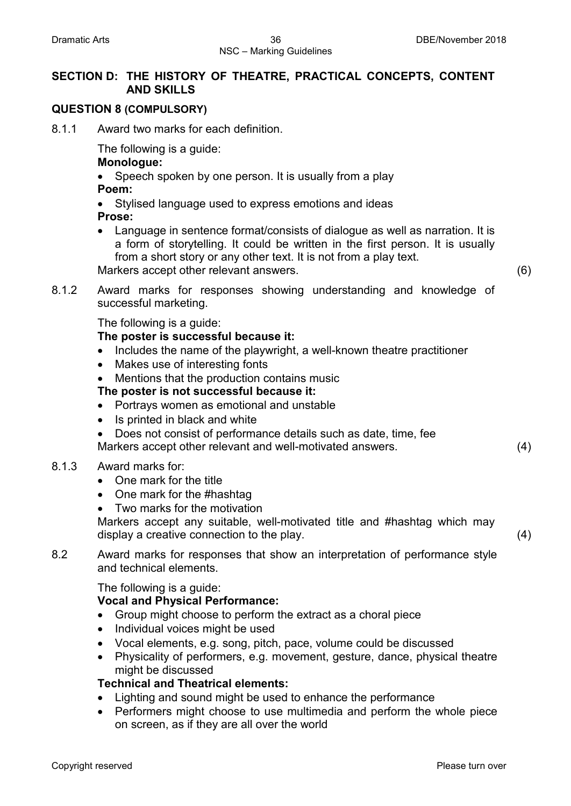### **SECTION D: THE HISTORY OF THEATRE, PRACTICAL CONCEPTS, CONTENT AND SKILLS**

### **QUESTION 8 (COMPULSORY)**

8.1.1 Award two marks for each definition.

The following is a guide:

**Monologue:**

- Speech spoken by one person. It is usually from a play **Poem:**
- Stylised language used to express emotions and ideas **Prose:**
- Language in sentence format/consists of dialogue as well as narration. It is a form of storytelling. It could be written in the first person. It is usually from a short story or any other text. It is not from a play text. Markers accept other relevant answers. (6)

- 
- 8.1.2 Award marks for responses showing understanding and knowledge of successful marketing.

The following is a guide:

### **The poster is successful because it:**

- Includes the name of the playwright, a well-known theatre practitioner
- Makes use of interesting fonts
- Mentions that the production contains music

### **The poster is not successful because it:**

- Portrays women as emotional and unstable
- Is printed in black and white
- Does not consist of performance details such as date, time, fee Markers accept other relevant and well-motivated answers. (4)

### 8.1.3 Award marks for:

- One mark for the title
- One mark for the #hashtag
- Two marks for the motivation

Markers accept any suitable, well-motivated title and #hashtag which may display a creative connection to the play. (4)

8.2 Award marks for responses that show an interpretation of performance style and technical elements.

The following is a guide:

### **Vocal and Physical Performance:**

- Group might choose to perform the extract as a choral piece
- Individual voices might be used
- Vocal elements, e.g. song, pitch, pace, volume could be discussed
- Physicality of performers, e.g. movement, gesture, dance, physical theatre might be discussed

### **Technical and Theatrical elements:**

- Lighting and sound might be used to enhance the performance
- Performers might choose to use multimedia and perform the whole piece on screen, as if they are all over the world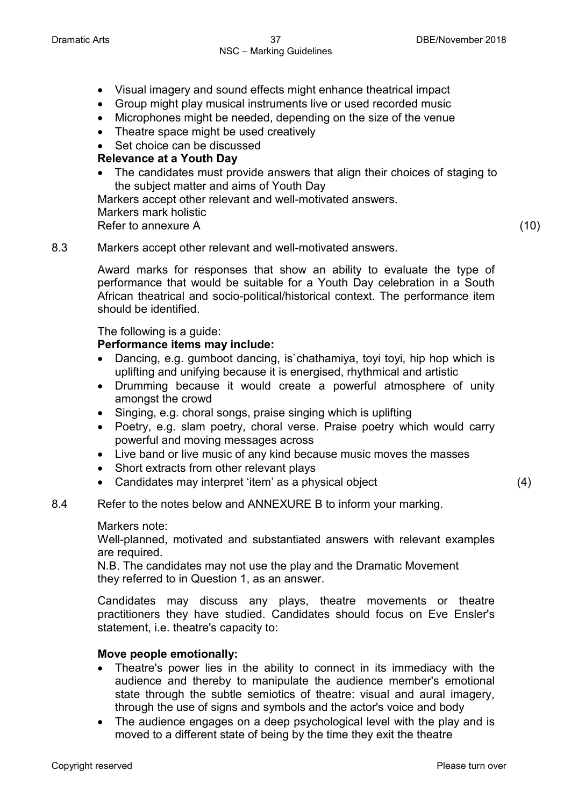- Visual imagery and sound effects might enhance theatrical impact
- Group might play musical instruments live or used recorded music
- Microphones might be needed, depending on the size of the venue
- Theatre space might be used creatively
- Set choice can be discussed

### **Relevance at a Youth Day**

The candidates must provide answers that align their choices of staging to the subject matter and aims of Youth Day

Markers accept other relevant and well-motivated answers. Markers mark holistic Refer to annexure A (10)

### 8.3 Markers accept other relevant and well-motivated answers.

Award marks for responses that show an ability to evaluate the type of performance that would be suitable for a Youth Day celebration in a South African theatrical and socio-political/historical context. The performance item should be identified.

The following is a guide:

### **Performance items may include:**

- Dancing, e.g. gumboot dancing, is`chathamiya, toyi toyi, hip hop which is uplifting and unifying because it is energised, rhythmical and artistic
- Drumming because it would create a powerful atmosphere of unity amongst the crowd
- Singing, e.g. choral songs, praise singing which is uplifting
- Poetry, e.g. slam poetry, choral verse. Praise poetry which would carry powerful and moving messages across
- Live band or live music of any kind because music moves the masses
- Short extracts from other relevant plays
- Candidates may interpret 'item' as a physical object (4)

### 8.4 Refer to the notes below and ANNEXURE B to inform your marking.

Markers note:

Well-planned, motivated and substantiated answers with relevant examples are required.

N.B. The candidates may not use the play and the Dramatic Movement they referred to in Question 1, as an answer.

Candidates may discuss any plays, theatre movements or theatre practitioners they have studied. Candidates should focus on Eve Ensler's statement, i.e. theatre's capacity to:

### **Move people emotionally:**

- Theatre's power lies in the ability to connect in its immediacy with the audience and thereby to manipulate the audience member's emotional state through the subtle semiotics of theatre: visual and aural imagery, through the use of signs and symbols and the actor's voice and body
- The audience engages on a deep psychological level with the play and is moved to a different state of being by the time they exit the theatre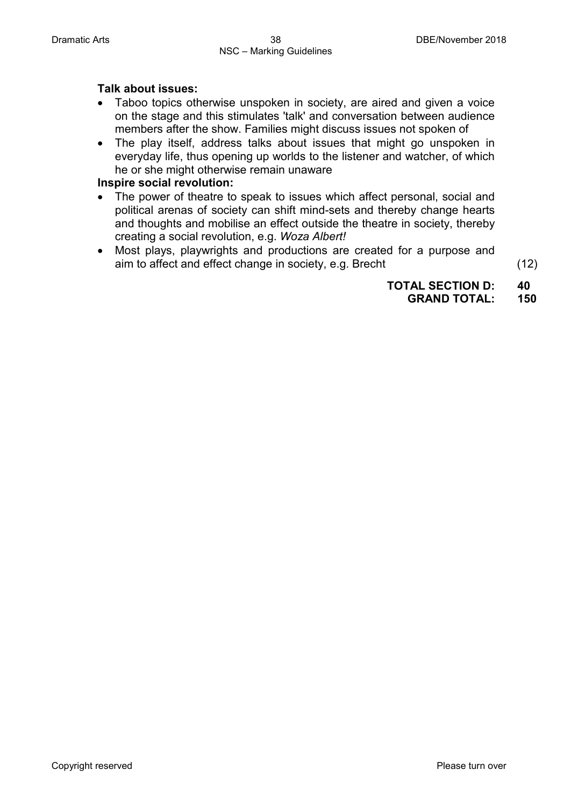### **Talk about issues:**

- Taboo topics otherwise unspoken in society, are aired and given a voice on the stage and this stimulates 'talk' and conversation between audience members after the show. Families might discuss issues not spoken of
- The play itself, address talks about issues that might go unspoken in everyday life, thus opening up worlds to the listener and watcher, of which he or she might otherwise remain unaware

### **Inspire social revolution:**

- The power of theatre to speak to issues which affect personal, social and political arenas of society can shift mind-sets and thereby change hearts and thoughts and mobilise an effect outside the theatre in society, thereby creating a social revolution, e.g. *Woza Albert!*
- Most plays, playwrights and productions are created for a purpose and aim to affect and effect change in society, e.g. Brecht (12)

**TOTAL SECTION D: 40 GRAND TOTAL:**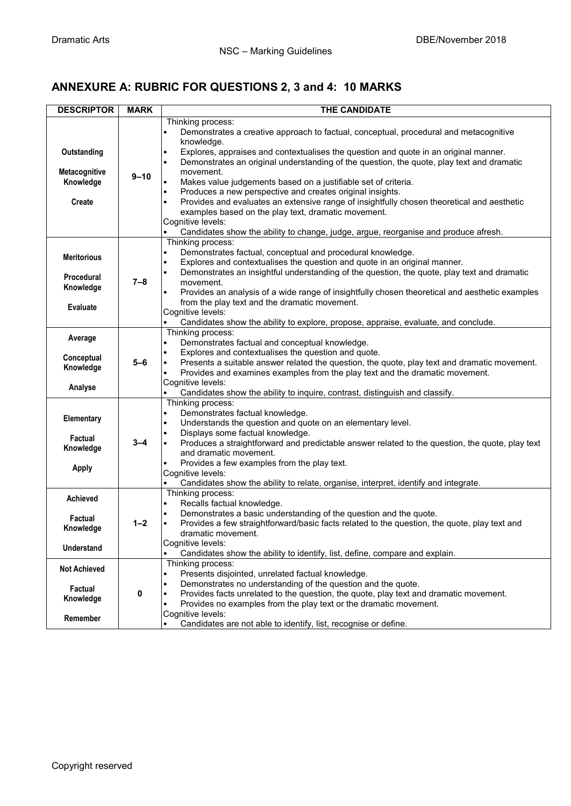### **ANNEXURE A: RUBRIC FOR QUESTIONS 2, 3 and 4: 10 MARKS**

| <b>DESCRIPTOR</b>                                                       | <b>MARK</b> | <b>THE CANDIDATE</b>                                                                                                                                                                                                                                                                                                                                                                                                                                                                                                                                                                                                                                                                                                                                                                        |  |  |  |  |  |  |
|-------------------------------------------------------------------------|-------------|---------------------------------------------------------------------------------------------------------------------------------------------------------------------------------------------------------------------------------------------------------------------------------------------------------------------------------------------------------------------------------------------------------------------------------------------------------------------------------------------------------------------------------------------------------------------------------------------------------------------------------------------------------------------------------------------------------------------------------------------------------------------------------------------|--|--|--|--|--|--|
| Outstanding<br>Metacognitive<br>Knowledge<br><b>Create</b>              | $9 - 10$    | Thinking process:<br>Demonstrates a creative approach to factual, conceptual, procedural and metacognitive<br>$\bullet$<br>knowledge.<br>Explores, appraises and contextualises the question and quote in an original manner.<br>$\bullet$<br>Demonstrates an original understanding of the question, the quote, play text and dramatic<br>$\bullet$<br>movement.<br>Makes value judgements based on a justifiable set of criteria.<br>Produces a new perspective and creates original insights.<br>$\bullet$<br>Provides and evaluates an extensive range of insightfully chosen theoretical and aesthetic<br>$\bullet$<br>examples based on the play text, dramatic movement.<br>Cognitive levels:<br>Candidates show the ability to change, judge, argue, reorganise and produce afresh. |  |  |  |  |  |  |
| <b>Meritorious</b><br><b>Procedural</b><br>Knowledge<br><b>Evaluate</b> | $7 - 8$     | Thinking process:<br>Demonstrates factual, conceptual and procedural knowledge.<br>$\bullet$<br>Explores and contextualises the question and quote in an original manner.<br>$\bullet$<br>Demonstrates an insightful understanding of the question, the quote, play text and dramatic<br>$\bullet$<br>movement.<br>Provides an analysis of a wide range of insightfully chosen theoretical and aesthetic examples<br>$\bullet$<br>from the play text and the dramatic movement.<br>Cognitive levels:<br>Candidates show the ability to explore, propose, appraise, evaluate, and conclude.<br>$\bullet$                                                                                                                                                                                     |  |  |  |  |  |  |
| Average<br>Conceptual<br>Knowledge<br>Analyse                           | 5-6         | Thinking process:<br>Demonstrates factual and conceptual knowledge.<br>$\bullet$<br>Explores and contextualises the question and quote.<br>$\bullet$<br>Presents a suitable answer related the question, the quote, play text and dramatic movement.<br>$\bullet$<br>Provides and examines examples from the play text and the dramatic movement.<br>Cognitive levels:<br>Candidates show the ability to inquire, contrast, distinguish and classify.                                                                                                                                                                                                                                                                                                                                       |  |  |  |  |  |  |
| Elementary<br>Factual<br>Knowledge<br><b>Apply</b>                      | 3–4         | Thinking process:<br>Demonstrates factual knowledge.<br>$\bullet$<br>Understands the question and quote on an elementary level.<br>$\bullet$<br>Displays some factual knowledge.<br>Produces a straightforward and predictable answer related to the question, the quote, play text<br>and dramatic movement.<br>Provides a few examples from the play text.<br>Cognitive levels:<br>Candidates show the ability to relate, organise, interpret, identify and integrate.                                                                                                                                                                                                                                                                                                                    |  |  |  |  |  |  |
| <b>Achieved</b><br>Factual<br>Knowledge<br><b>Understand</b>            | $1 - 2$     | Thinking process:<br>Recalls factual knowledge.<br>$\bullet$<br>Demonstrates a basic understanding of the question and the quote.<br>Provides a few straightforward/basic facts related to the question, the quote, play text and<br>$\bullet$<br>dramatic movement.<br>Cognitive levels:<br>Candidates show the ability to identify, list, define, compare and explain.                                                                                                                                                                                                                                                                                                                                                                                                                    |  |  |  |  |  |  |
| <b>Not Achieved</b><br>Factual<br>Knowledge<br>Remember                 | 0           | Thinking process:<br>Presents disjointed, unrelated factual knowledge.<br>$\bullet$<br>Demonstrates no understanding of the question and the quote.<br>Provides facts unrelated to the question, the quote, play text and dramatic movement.<br>Provides no examples from the play text or the dramatic movement.<br>$\bullet$<br>Cognitive levels:<br>Candidates are not able to identify, list, recognise or define.                                                                                                                                                                                                                                                                                                                                                                      |  |  |  |  |  |  |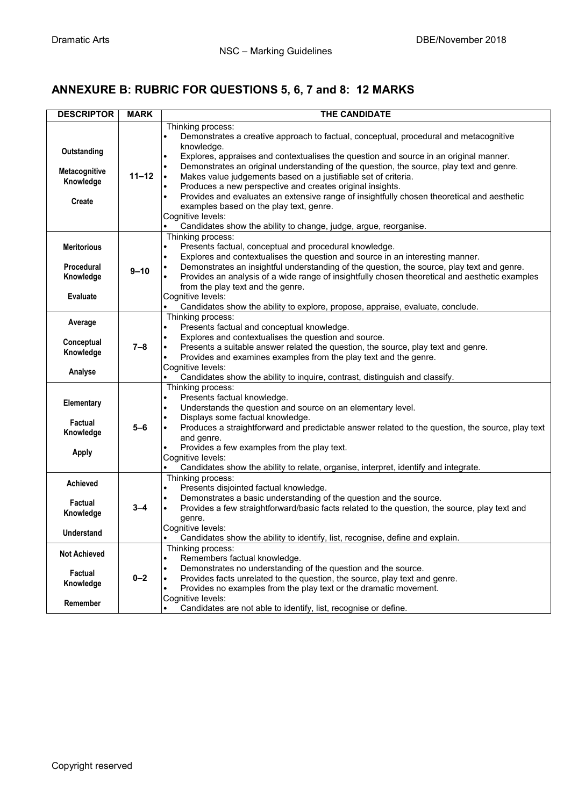### **ANNEXURE B: RUBRIC FOR QUESTIONS 5, 6, 7 and 8: 12 MARKS**

| <b>DESCRIPTOR</b>                                                       | <b>MARK</b> | THE CANDIDATE                                                                                                                                                                                                                                                                                                                                                                                                                                                                                                                                                                                                                                                                                                         |  |  |  |  |
|-------------------------------------------------------------------------|-------------|-----------------------------------------------------------------------------------------------------------------------------------------------------------------------------------------------------------------------------------------------------------------------------------------------------------------------------------------------------------------------------------------------------------------------------------------------------------------------------------------------------------------------------------------------------------------------------------------------------------------------------------------------------------------------------------------------------------------------|--|--|--|--|
| Outstanding<br>Metacognitive<br>Knowledge<br><b>Create</b>              | $11 - 12$   | Thinking process:<br>Demonstrates a creative approach to factual, conceptual, procedural and metacognitive<br>knowledge.<br>Explores, appraises and contextualises the question and source in an original manner.<br>$\bullet$<br>Demonstrates an original understanding of the question, the source, play text and genre.<br>$\bullet$<br>Makes value judgements based on a justifiable set of criteria.<br>Produces a new perspective and creates original insights.<br>Provides and evaluates an extensive range of insightfully chosen theoretical and aesthetic<br>$\bullet$<br>examples based on the play text, genre.<br>Cognitive levels:<br>Candidates show the ability to change, judge, argue, reorganise. |  |  |  |  |
| <b>Meritorious</b><br><b>Procedural</b><br>Knowledge<br><b>Evaluate</b> | $9 - 10$    | Thinking process:<br>Presents factual, conceptual and procedural knowledge.<br>$\bullet$<br>Explores and contextualises the question and source in an interesting manner.<br>Demonstrates an insightful understanding of the question, the source, play text and genre.<br>Provides an analysis of a wide range of insightfully chosen theoretical and aesthetic examples<br>from the play text and the genre.<br>Cognitive levels:<br>Candidates show the ability to explore, propose, appraise, evaluate, conclude.                                                                                                                                                                                                 |  |  |  |  |
| Average<br>Conceptual<br>Knowledge<br>Analyse                           | $7 - 8$     | Thinking process:<br>Presents factual and conceptual knowledge.<br>$\bullet$<br>Explores and contextualises the question and source.<br>Presents a suitable answer related the question, the source, play text and genre.<br>Provides and examines examples from the play text and the genre.<br>Cognitive levels:<br>Candidates show the ability to inquire, contrast, distinguish and classify.                                                                                                                                                                                                                                                                                                                     |  |  |  |  |
| Elementary<br>Factual<br>Knowledge<br><b>Apply</b>                      | $5 - 6$     | Thinking process:<br>Presents factual knowledge.<br>$\bullet$<br>Understands the question and source on an elementary level.<br>$\bullet$<br>Displays some factual knowledge.<br>Produces a straightforward and predictable answer related to the question, the source, play text<br>and genre.<br>Provides a few examples from the play text.<br>Cognitive levels:<br>Candidates show the ability to relate, organise, interpret, identify and integrate.                                                                                                                                                                                                                                                            |  |  |  |  |
| Achieved<br>Factual<br>Knowledge<br><b>Understand</b>                   | 3–4         | Thinking process:<br>Presents disjointed factual knowledge.<br>$\bullet$<br>Demonstrates a basic understanding of the question and the source.<br>Provides a few straightforward/basic facts related to the question, the source, play text and<br>$\bullet$<br>genre.<br>Cognitive levels:<br>Candidates show the ability to identify, list, recognise, define and explain.                                                                                                                                                                                                                                                                                                                                          |  |  |  |  |
| <b>Not Achieved</b><br>Factual<br>Knowledge<br>Remember                 | $0 - 2$     | Thinking process:<br>Remembers factual knowledge.<br>Demonstrates no understanding of the question and the source.<br>$\bullet$<br>Provides facts unrelated to the question, the source, play text and genre.<br>Provides no examples from the play text or the dramatic movement.<br>Cognitive levels:<br>Candidates are not able to identify, list, recognise or define.                                                                                                                                                                                                                                                                                                                                            |  |  |  |  |